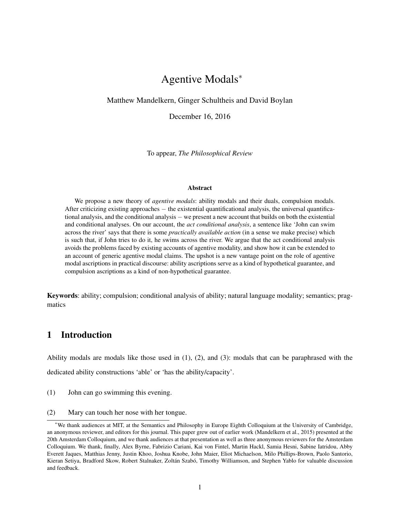# Agentive Modals<sup>∗</sup>

## <span id="page-0-3"></span>Matthew Mandelkern, Ginger Schultheis and David Boylan

December 16, 2016

To appear, *The Philosophical Review*

#### Abstract

We propose a new theory of *agentive modals*: ability modals and their duals, compulsion modals. After criticizing existing approaches − the existential quantificational analysis, the universal quantificational analysis, and the conditional analysis − we present a new account that builds on both the existential and conditional analyses. On our account, the *act conditional analysis*, a sentence like 'John can swim across the river' says that there is some *practically available action* (in a sense we make precise) which is such that, if John tries to do it, he swims across the river. We argue that the act conditional analysis avoids the problems faced by existing accounts of agentive modality, and show how it can be extended to an account of generic agentive modal claims. The upshot is a new vantage point on the role of agentive modal ascriptions in practical discourse: ability ascriptions serve as a kind of hypothetical guarantee, and compulsion ascriptions as a kind of non-hypothetical guarantee.

Keywords: ability; compulsion; conditional analysis of ability; natural language modality; semantics; pragmatics

## 1 Introduction

Ability modals are modals like those used in [\(1\),](#page-0-0) [\(2\),](#page-0-1) and [\(3\):](#page-0-2) modals that can be paraphrased with the dedicated ability constructions 'able' or 'has the ability/capacity'.

- <span id="page-0-0"></span>(1) John can go swimming this evening.
- <span id="page-0-1"></span>(2) Mary can touch her nose with her tongue.

<span id="page-0-2"></span><sup>∗</sup>We thank audiences at MIT, at the Semantics and Philosophy in Europe Eighth Colloquium at the University of Cambridge, an anonymous reviewer, and editors for this journal. This paper grew out of earlier work [\(Mandelkern et al., 2015\)](#page-37-0) presented at the 20th Amsterdam Colloquium, and we thank audiences at that presentation as well as three anonymous reviewers for the Amsterdam Colloquium. We thank, finally, Alex Byrne, Fabrizio Cariani, Kai von Fintel, Martin Hackl, Samia Hesni, Sabine Iatridou, Abby Everett Jaques, Matthias Jenny, Justin Khoo, Joshua Knobe, John Maier, Eliot Michaelson, Milo Phillips-Brown, Paolo Santorio, Kieran Setiya, Bradford Skow, Robert Stalnaker, Zoltán Szabó, Timothy Williamson, and Stephen Yablo for valuable discussion and feedback.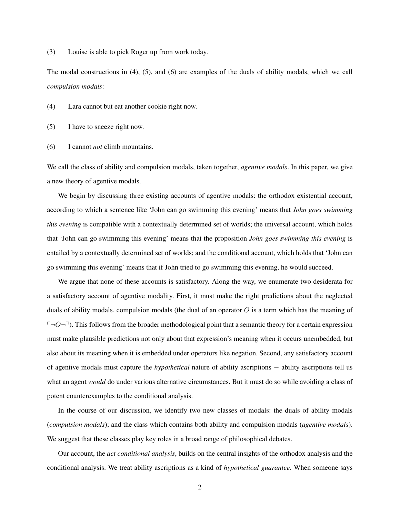(3) Louise is able to pick Roger up from work today.

The modal constructions in (4), (5), and [\(6\)](#page-1-0) are examples of the duals of ability modals, which we call *compulsion modals*:

<span id="page-1-1"></span>(4) Lara cannot but eat another cookie right now.

<span id="page-1-2"></span>(5) I have to sneeze right now.

<span id="page-1-0"></span>(6) I cannot *not* climb mountains.

We call the class of ability and compulsion modals, taken together, *agentive modals*. In this paper, we give a new theory of agentive modals.

We begin by discussing three existing accounts of agentive modals: the orthodox existential account, according to which a sentence like 'John can go swimming this evening' means that *John goes swimming this evening* is compatible with a contextually determined set of worlds; the universal account, which holds that 'John can go swimming this evening' means that the proposition *John goes swimming this evening* is entailed by a contextually determined set of worlds; and the conditional account, which holds that 'John can go swimming this evening' means that if John tried to go swimming this evening, he would succeed.

We argue that none of these accounts is satisfactory. Along the way, we enumerate two desiderata for a satisfactory account of agentive modality. First, it must make the right predictions about the neglected duals of ability modals, compulsion modals (the dual of an operator  $\hat{O}$  is a term which has the meaning of  $\lceil\neg O\neg$ ). This follows from the broader methodological point that a semantic theory for a certain expression must make plausible predictions not only about that expression's meaning when it occurs unembedded, but also about its meaning when it is embedded under operators like negation. Second, any satisfactory account of agentive modals must capture the *hypothetical* nature of ability ascriptions − ability ascriptions tell us what an agent *would* do under various alternative circumstances. But it must do so while avoiding a class of potent counterexamples to the conditional analysis.

In the course of our discussion, we identify two new classes of modals: the duals of ability modals (*compulsion modals*); and the class which contains both ability and compulsion modals (*agentive modals*). We suggest that these classes play key roles in a broad range of philosophical debates.

Our account, the *act conditional analysis*, builds on the central insights of the orthodox analysis and the conditional analysis. We treat ability ascriptions as a kind of *hypothetical guarantee*. When someone says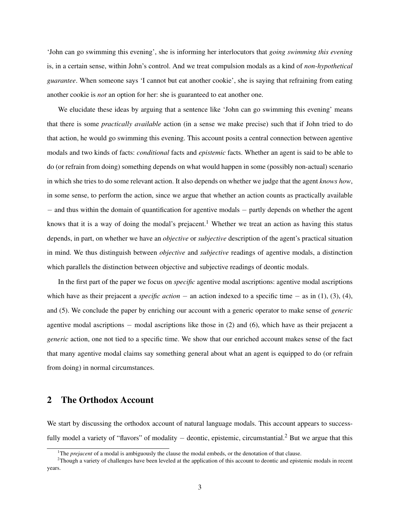'John can go swimming this evening', she is informing her interlocutors that *going swimming this evening* is, in a certain sense, within John's control. And we treat compulsion modals as a kind of *non-hypothetical guarantee*. When someone says 'I cannot but eat another cookie', she is saying that refraining from eating another cookie is *not* an option for her: she is guaranteed to eat another one.

We elucidate these ideas by arguing that a sentence like 'John can go swimming this evening' means that there is some *practically available* action (in a sense we make precise) such that if John tried to do that action, he would go swimming this evening. This account posits a central connection between agentive modals and two kinds of facts: *conditional* facts and *epistemic* facts. Whether an agent is said to be able to do (or refrain from doing) something depends on what would happen in some (possibly non-actual) scenario in which she tries to do some relevant action. It also depends on whether we judge that the agent *knows how*, in some sense, to perform the action, since we argue that whether an action counts as practically available − and thus within the domain of quantification for agentive modals − partly depends on whether the agent knows that it is a way of doing the modal's prejacent.<sup>[1](#page-0-3)</sup> Whether we treat an action as having this status depends, in part, on whether we have an *objective* or *subjective* description of the agent's practical situation in mind. We thus distinguish between *objective* and *subjective* readings of agentive modals, a distinction which parallels the distinction between objective and subjective readings of deontic modals.

In the first part of the paper we focus on *specific* agentive modal ascriptions: agentive modal ascriptions which have as their prejacent a *specific action* − an action indexed to a specific time − as in [\(1\),](#page-0-0) [\(3\),](#page-0-2) [\(4\),](#page-1-1) and [\(5\).](#page-1-2) We conclude the paper by enriching our account with a generic operator to make sense of *generic* agentive modal ascriptions  $-$  modal ascriptions like those in [\(2\)](#page-0-1) and [\(6\),](#page-1-0) which have as their prejacent a *generic* action, one not tied to a specific time. We show that our enriched account makes sense of the fact that many agentive modal claims say something general about what an agent is equipped to do (or refrain from doing) in normal circumstances.

## 2 The Orthodox Account

We start by discussing the orthodox account of natural language modals. This account appears to successfully model a variety of "flavors" of modality  $-$  deontic, epistemic, circumstantial.<sup>[2](#page-0-3)</sup> But we argue that this

<sup>&</sup>lt;sup>1</sup>The *prejacent* of a modal is ambiguously the clause the modal embeds, or the denotation of that clause.

 $2$ Though a variety of challenges have been leveled at the application of this account to deontic and epistemic modals in recent years.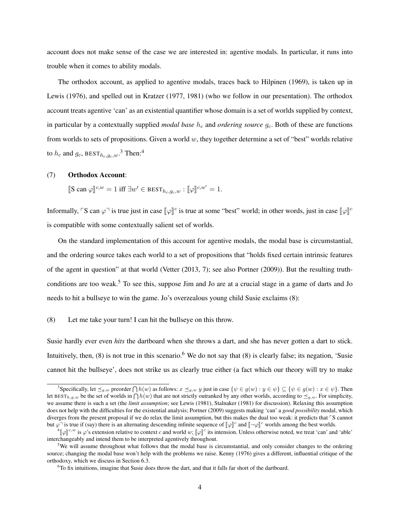account does not make sense of the case we are interested in: agentive modals. In particular, it runs into trouble when it comes to ability modals.

The orthodox account, as applied to agentive modals, traces back to [Hilpinen](#page-37-1) [\(1969\)](#page-37-1), is taken up in [Lewis](#page-37-2) [\(1976\)](#page-37-2), and spelled out in [Kratzer](#page-37-3) [\(1977,](#page-37-3) [1981\)](#page-37-4) (who we follow in our presentation). The orthodox account treats agentive 'can' as an existential quantifier whose domain is a set of worlds supplied by context, in particular by a contextually supplied *modal base*  $h_c$  and *ordering source*  $g_c$ . Both of these are functions from worlds to sets of propositions. Given a world  $w$ , they together determine a set of "best" worlds relative to  $h_c$  and  $g_c$ , BEST $_{h_c,g_c,w}$ .<sup>[3](#page-0-3)</sup> Then:<sup>[4](#page-0-3)</sup>

#### (7) Orthodox Account:

 $\llbracket S \text{ can } \varphi \rrbracket^{c,w} = 1 \text{ iff } \exists w' \in \text{BEST}_{h_c,g_c,w} : \llbracket \varphi \rrbracket^{c,w'} = 1.$ 

Informally,  $\ulcorner$ S can  $\varphi \urcorner$  is true just in case  $[\![\varphi]\!]^c$  is true at some "best" world; in other words, just in case  $[\![\varphi]\!]^c$ is compatible with some contextually salient set of worlds.

On the standard implementation of this account for agentive modals, the modal base is circumstantial, and the ordering source takes each world to a set of propositions that "holds fixed certain intrinsic features of the agent in question" at that world [\(Vetter](#page-37-5) [\(2013,](#page-37-5) 7); see also [Portner](#page-37-6) [\(2009\)](#page-37-6)). But the resulting truth-conditions are too weak.<sup>[5](#page-0-3)</sup> To see this, suppose Jim and Jo are at a crucial stage in a game of darts and Jo needs to hit a bullseye to win the game. Jo's overzealous young child Susie exclaims (8):

#### <span id="page-3-0"></span>(8) Let me take your turn! I can hit the bullseye on this throw.

Susie hardly ever even *hits* the dartboard when she throws a dart, and she has never gotten a dart to stick. Intuitively, then,  $(8)$  is not true in this scenario.<sup>[6](#page-0-3)</sup> We do not say that  $(8)$  is clearly false; its negation, 'Susie cannot hit the bullseye', does not strike us as clearly true either (a fact which our theory will try to make

<sup>&</sup>lt;sup>3</sup>Specifically, let  $\preceq_{g,w}$  preorder  $\bigcap h(w)$  as follows:  $x \preceq_{g,w} y$  just in case  $\{\psi \in g(w) : y \in \psi\} \subseteq \{\psi \in g(w) : x \in \psi\}$ . Then let BEST<sub>h,g,w</sub> be the set of worlds in  $\bigcap h(w)$  that are not strictly outranked by any other worlds, according to  $\preceq_{g,w}$ . For simplicity, we assume there is such a set (the *limit assumption*; see [Lewis](#page-37-7) [\(1981\)](#page-37-7), [Stalnaker](#page-37-8) [\(1981\)](#page-37-8) for discussion). Relaxing this assumption does not help with the difficulties for the existential analysis; [Portner](#page-37-6) [\(2009\)](#page-37-6) suggests making 'can' a *good possibility* modal, which diverges from the present proposal if we do relax the limit assumption, but this makes the dual too weak: it predicts that  $\ulcorner S$  cannot but  $\varphi^{\top}$  is true if (say) there is an alternating descending infinite sequence of  $[\varphi]^c$  and  $[\neg \varphi]^c$  worlds among the best worlds.

 ${}^4[\varphi]^{c,w}$  is  $\varphi$ 's extension relative to context c and world w;  $[\varphi]^{c}$  its intension. Unless otherwise noted, we treat 'can' and 'able' interchangeably and intend them to be interpreted agentively throughout.

<sup>&</sup>lt;sup>5</sup>We will assume throughout what follows that the modal base is circumstantial, and only consider changes to the ordering source; changing the modal base won't help with the problems we raise. [Kenny](#page-37-9) [\(1976\)](#page-37-9) gives a different, influential critique of the orthodoxy, which we discuss in Section [6.3.](#page-31-0)

 $6T\sigma$  fix intuitions, imagine that Susie does throw the dart, and that it falls far short of the dartboard.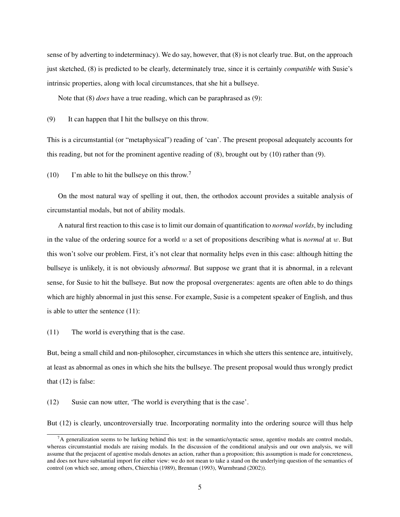sense of by adverting to indeterminacy). We do say, however, that (8) is not clearly true. But, on the approach just sketched, [\(8\)](#page-3-0) is predicted to be clearly, determinately true, since it is certainly *compatible* with Susie's intrinsic properties, along with local circumstances, that she hit a bullseye.

Note that [\(8\)](#page-3-0) *does* have a true reading, which can be paraphrased as (9):

<span id="page-4-0"></span>(9) It can happen that I hit the bullseye on this throw.

This is a circumstantial (or "metaphysical") reading of 'can'. The present proposal adequately accounts for this reading, but not for the prominent agentive reading of [\(8\),](#page-3-0) brought out by (10) rather than [\(9\).](#page-4-0)

(10) I'm able to hit the bullseye on this throw.<sup>[7](#page-0-3)</sup>

On the most natural way of spelling it out, then, the orthodox account provides a suitable analysis of circumstantial modals, but not of ability modals.

A natural first reaction to this case is to limit our domain of quantification to *normal worlds*, by including in the value of the ordering source for a world w a set of propositions describing what is *normal* at w. But this won't solve our problem. First, it's not clear that normality helps even in this case: although hitting the bullseye is unlikely, it is not obviously *abnormal*. But suppose we grant that it is abnormal, in a relevant sense, for Susie to hit the bullseye. But now the proposal overgenerates: agents are often able to do things which are highly abnormal in just this sense. For example, Susie is a competent speaker of English, and thus is able to utter the sentence (11):

<span id="page-4-2"></span>(11) The world is everything that is the case.

But, being a small child and non-philosopher, circumstances in which she utters this sentence are, intuitively, at least as abnormal as ones in which she hits the bullseye. The present proposal would thus wrongly predict that [\(12\)](#page-4-1) is false:

<span id="page-4-1"></span>(12) Susie can now utter, 'The world is everything that is the case'.

But [\(12\)](#page-4-1) is clearly, uncontroversially true. Incorporating normality into the ordering source will thus help

 ${}^{7}A$  generalization seems to be lurking behind this test: in the semantic/syntactic sense, agentive modals are control modals, whereas circumstantial modals are raising modals. In the discussion of the conditional analysis and our own analysis, we will assume that the prejacent of agentive modals denotes an action, rather than a proposition; this assumption is made for concreteness, and does not have substantial import for either view: we do not mean to take a stand on the underlying question of the semantics of control (on which see, among others, [Chierchia](#page-37-10) [\(1989\)](#page-37-10), [Brennan](#page-36-0) [\(1993\)](#page-36-0), [Wurmbrand](#page-38-0) [\(2002\)](#page-38-0)).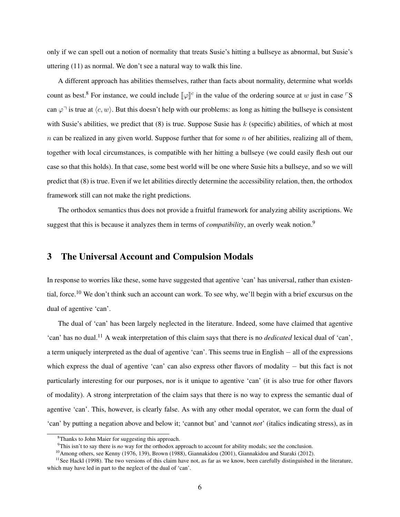only if we can spell out a notion of normality that treats Susie's hitting a bullseye as abnormal, but Susie's uttering [\(11\)](#page-4-2) as normal. We don't see a natural way to walk this line.

A different approach has abilities themselves, rather than facts about normality, determine what worlds count as best.<sup>[8](#page-0-3)</sup> For instance, we could include  $[\varphi]^{c}$  in the value of the ordering source at w just in case  $\ulcorner S$ can  $\varphi$ <sup> $\exists$ </sup> is true at  $\langle c, w \rangle$ . But this doesn't help with our problems: as long as hitting the bullseye is consistent with Susie's abilities, we predict that  $(8)$  is true. Suppose Susie has k (specific) abilities, of which at most n can be realized in any given world. Suppose further that for some  $n$  of her abilities, realizing all of them, together with local circumstances, is compatible with her hitting a bullseye (we could easily flesh out our case so that this holds). In that case, some best world will be one where Susie hits a bullseye, and so we will predict that [\(8\)](#page-3-0) is true. Even if we let abilities directly determine the accessibility relation, then, the orthodox framework still can not make the right predictions.

The orthodox semantics thus does not provide a fruitful framework for analyzing ability ascriptions. We suggest that this is because it analyzes them in terms of *compatibility*, an overly weak notion.[9](#page-0-3)

## 3 The Universal Account and Compulsion Modals

In response to worries like these, some have suggested that agentive 'can' has universal, rather than existen-tial, force.<sup>[10](#page-0-3)</sup> We don't think such an account can work. To see why, we'll begin with a brief excursus on the dual of agentive 'can'.

The dual of 'can' has been largely neglected in the literature. Indeed, some have claimed that agentive 'can' has no dual.[11](#page-0-3) A weak interpretation of this claim says that there is no *dedicated* lexical dual of 'can', a term uniquely interpreted as the dual of agentive 'can'. This seems true in English − all of the expressions which express the dual of agentive 'can' can also express other flavors of modality – but this fact is not particularly interesting for our purposes, nor is it unique to agentive 'can' (it is also true for other flavors of modality). A strong interpretation of the claim says that there is no way to express the semantic dual of agentive 'can'. This, however, is clearly false. As with any other modal operator, we can form the dual of 'can' by putting a negation above and below it; 'cannot but' and 'cannot *not*' (italics indicating stress), as in

<sup>&</sup>lt;sup>8</sup>Thanks to John Maier for suggesting this approach.

<sup>9</sup>This isn't to say there is *no* way for the orthodox approach to account for ability modals; see the conclusion.

<sup>10</sup>Among others, see [Kenny](#page-37-9) [\(1976,](#page-37-9) 139), [Brown](#page-36-1) [\(1988\)](#page-36-1), [Giannakidou](#page-37-11) [\(2001\)](#page-37-11), [Giannakidou and Staraki](#page-37-12) [\(2012\)](#page-37-12).

 $11$ See [Hackl](#page-37-13) [\(1998\)](#page-37-13). The two versions of this claim have not, as far as we know, been carefully distinguished in the literature, which may have led in part to the neglect of the dual of 'can'.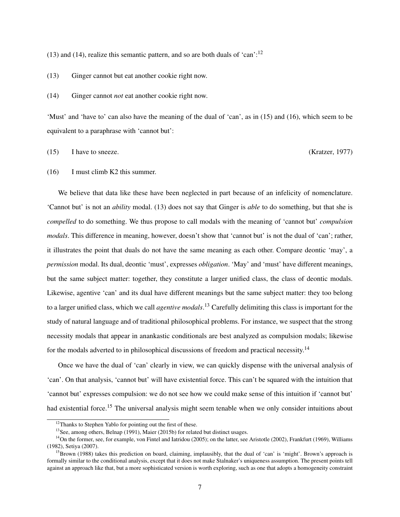<span id="page-6-0"></span>(13) and (14), realize this semantic pattern, and so are both duals of 'can':<sup>[12](#page-0-3)</sup>

(13) Ginger cannot but eat another cookie right now.

(14) Ginger cannot *not* eat another cookie right now.

'Must' and 'have to' can also have the meaning of the dual of 'can', as in (15) and (16), which seem to be equivalent to a paraphrase with 'cannot but':

(15) I have to sneeze. [\(Kratzer, 1977\)](#page-37-3)

(16) I must climb K2 this summer.

We believe that data like these have been neglected in part because of an infelicity of nomenclature. 'Cannot but' is not an *ability* modal. [\(13\)](#page-6-0) does not say that Ginger is *able* to do something, but that she is *compelled* to do something. We thus propose to call modals with the meaning of 'cannot but' *compulsion modals*. This difference in meaning, however, doesn't show that 'cannot but' is not the dual of 'can'; rather, it illustrates the point that duals do not have the same meaning as each other. Compare deontic 'may', a *permission* modal. Its dual, deontic 'must', expresses *obligation*. 'May' and 'must' have different meanings, but the same subject matter: together, they constitute a larger unified class, the class of deontic modals. Likewise, agentive 'can' and its dual have different meanings but the same subject matter: they too belong to a larger unified class, which we call *agentive modals*. [13](#page-0-3) Carefully delimiting this class is important for the study of natural language and of traditional philosophical problems. For instance, we suspect that the strong necessity modals that appear in anankastic conditionals are best analyzed as compulsion modals; likewise for the modals adverted to in philosophical discussions of freedom and practical necessity.[14](#page-0-3)

Once we have the dual of 'can' clearly in view, we can quickly dispense with the universal analysis of 'can'. On that analysis, 'cannot but' will have existential force. This can't be squared with the intuition that 'cannot but' expresses compulsion: we do not see how we could make sense of this intuition if 'cannot but' had existential force.<sup>[15](#page-0-3)</sup> The universal analysis might seem tenable when we only consider intuitions about

 $12$ Thanks to Stephen Yablo for pointing out the first of these.

<sup>&</sup>lt;sup>13</sup>See, among others, [Belnap](#page-36-2) [\(1991\)](#page-36-2), [Maier](#page-37-14) [\(2015b\)](#page-37-14) for related but distinct usages.

 $14$ On the former, see, for example, [von Fintel and Iatridou](#page-37-15) [\(2005\)](#page-37-15); on the latter, see [Aristotle](#page-36-3) [\(2002\)](#page-36-3), [Frankfurt](#page-37-16) [\(1969\)](#page-37-16), [Williams](#page-38-1) [\(1982\)](#page-38-1), [Setiya](#page-37-17) [\(2007\)](#page-37-17).

<sup>&</sup>lt;sup>15</sup>[Brown](#page-36-1) [\(1988\)](#page-36-1) takes this prediction on board, claiming, implausibly, that the dual of 'can' is 'might'. Brown's approach is formally similar to the conditional analysis, except that it does not make Stalnaker's uniqueness assumption. The present points tell against an approach like that, but a more sophisticated version is worth exploring, such as one that adopts a homogeneity constraint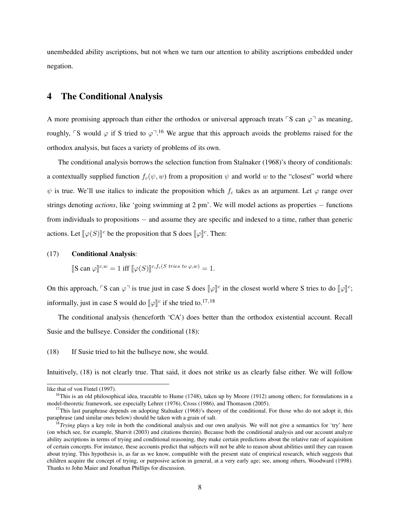unembedded ability ascriptions, but not when we turn our attention to ability ascriptions embedded under negation.

## 4 The Conditional Analysis

A more promising approach than either the orthodox or universal approach treats  $\ulcorner$  S can  $\varphi \urcorner$  as meaning, roughly,  $\ulcorner$ S would  $\varphi$  if S tried to  $\varphi$ <sup> $\urcorner$ [16](#page-0-3)</sup> We argue that this approach avoids the problems raised for the orthodox analysis, but faces a variety of problems of its own.

The conditional analysis borrows the selection function from [Stalnaker](#page-37-18) [\(1968\)](#page-37-18)'s theory of conditionals: a contextually supplied function  $f_c(\psi, w)$  from a proposition  $\psi$  and world w to the "closest" world where  $\psi$  is true. We'll use italics to indicate the proposition which  $f_c$  takes as an argument. Let  $\varphi$  range over strings denoting *actions*, like 'going swimming at 2 pm'. We will model actions as properties − functions from individuals to propositions – and assume they are specific and indexed to a time, rather than generic actions. Let  $[\![\varphi(S)]\!]^c$  be the proposition that S does  $[\![\varphi]\!]^c$ . Then:

#### (17) Conditional Analysis:

 $\llbracket \mathbf{S} \text{ can } \varphi \rrbracket^{c,w} = 1 \text{ iff } \llbracket \varphi(S) \rrbracket^{c,f_c(S \text{ tries to } \varphi,w)} = 1.$ 

On this approach,  $\ulcorner$ S can  $\varphi \urcorner$  is true just in case S does  $[\varphi]$ <sup>c</sup> in the closest world where S tries to do  $[\varphi]$ <sup>c</sup>; informally, just in case S would do  $[\![\varphi]\!]^c$  if she tried to.<sup>[17](#page-0-3),[18](#page-0-3)</sup>

The conditional analysis (henceforth 'CA') does better than the orthodox existential account. Recall Susie and the bullseye. Consider the conditional (18):

<span id="page-7-0"></span>(18) If Susie tried to hit the bullseye now, she would.

Intuitively, (18) is not clearly true. That said, it does not strike us as clearly false either. We will follow

like that of [von Fintel](#page-37-19) [\(1997\)](#page-37-19).

<sup>&</sup>lt;sup>16</sup>This is an old philosophical idea, traceable to [Hume](#page-37-20) [\(1748\)](#page-37-20), taken up by [Moore](#page-37-21) [\(1912\)](#page-37-21) among others; for formulations in a model-theoretic framework, see especially [Lehrer](#page-37-22) [\(1976\)](#page-37-22), [Cross](#page-37-23) [\(1986\)](#page-37-23), and [Thomason](#page-37-24) [\(2005\)](#page-37-24).

<sup>&</sup>lt;sup>17</sup>This last paraphrase depends on adopting [Stalnaker](#page-37-18) [\(1968\)](#page-37-18)'s theory of the conditional. For those who do not adopt it, this paraphrase (and similar ones below) should be taken with a grain of salt.

<sup>&</sup>lt;sup>18</sup>*Trying* plays a key role in both the conditional analysis and our own analysis. We will not give a semantics for 'try' here (on which see, for example, [Sharvit](#page-37-25) [\(2003\)](#page-37-25) and citations therein). Because both the conditional analysis and our account analyze ability ascriptions in terms of trying and conditional reasoning, they make certain predictions about the relative rate of acquisition of certain concepts. For instance, these accounts predict that subjects will not be able to reason about abilities until they can reason about trying. This hypothesis is, as far as we know, compatible with the present state of empirical research, which suggests that children acquire the concept of trying, or purposive action in general, at a very early age; see, among others, [Woodward](#page-38-2) [\(1998\)](#page-38-2). Thanks to John Maier and Jonathan Phillips for discussion.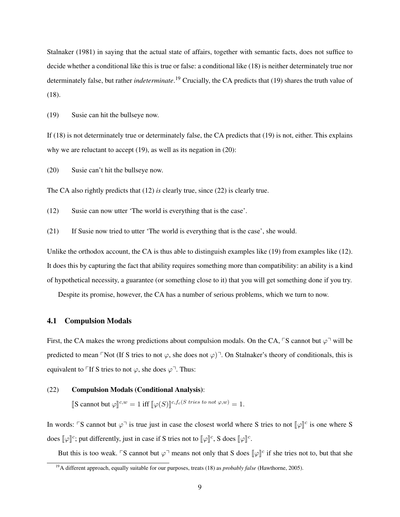[Stalnaker](#page-37-8) [\(1981\)](#page-37-8) in saying that the actual state of affairs, together with semantic facts, does not suffice to decide whether a conditional like this is true or false: a conditional like [\(18\)](#page-7-0) is neither determinately true nor determinately false, but rather *indeterminate*. [19](#page-0-3) Crucially, the CA predicts that (19) shares the truth value of [\(18\).](#page-7-0)

<span id="page-8-0"></span>(19) Susie can hit the bullseye now.

If [\(18\)](#page-7-0) is not determinately true or determinately false, the CA predicts that (19) is not, either. This explains why we are reluctant to accept (19), as well as its negation in (20):

(20) Susie can't hit the bullseye now.

The CA also rightly predicts that [\(12\)](#page-4-1) *is* clearly true, since (22) is clearly true.

[\(12\)](#page-4-1) Susie can now utter 'The world is everything that is the case'.

(21) If Susie now tried to utter 'The world is everything that is the case', she would.

Unlike the orthodox account, the CA is thus able to distinguish examples like [\(19\)](#page-8-0) from examples like [\(12\).](#page-4-1) It does this by capturing the fact that ability requires something more than compatibility: an ability is a kind of hypothetical necessity, a guarantee (or something close to it) that you will get something done if you try.

Despite its promise, however, the CA has a number of serious problems, which we turn to now.

## 4.1 Compulsion Modals

First, the CA makes the wrong predictions about compulsion modals. On the CA,  $\ulcorner$ S cannot but  $\varphi \urcorner$  will be predicted to mean Mot (If S tries to not  $\varphi$ , she does not  $\varphi$ )<sup> $\Box$ </sup>. On Stalnaker's theory of conditionals, this is equivalent to  $\ulcorner$  If S tries to not  $\varphi$ , she does  $\varphi \urcorner$ . Thus:

## (22) Compulsion Modals (Conditional Analysis):

 $\llbracket$ S cannot but  $\varphi\rrbracket^{c,w} = 1$  iff  $\llbracket \varphi(S) \rrbracket^{c,f_c(S \text{ tries to not } \varphi,w)} = 1.$ 

In words:  $\ulcorner$ S cannot but  $\varphi \urcorner$  is true just in case the closest world where S tries to not  $[\![\varphi]\!]^c$  is one where S does  $[\![\varphi]\!]^c$ ; put differently, just in case if S tries not to  $[\![\varphi]\!]^c$ , S does  $[\![\varphi]\!]^c$ .

But this is too weak. <sup>F</sup>S cannot but  $\varphi$ <sup> $\exists$ </sup> means not only that S does  $[\varphi]$ <sup>c</sup> if she tries not to, but that she

<sup>19</sup>A different approach, equally suitable for our purposes, treats (18) as *probably false* [\(Hawthorne, 2005\)](#page-37-26).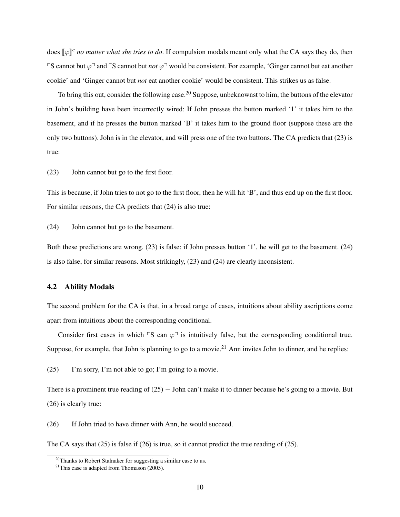does  $[\![\varphi]\!]^c$  *no matter what she tries to do*. If compulsion modals meant only what the CA says they do, then  $\nabla S$  cannot but  $\varphi$ <sup>-</sup> and  $\nabla S$  cannot but *not*  $\varphi$ <sup>-</sup> would be consistent. For example, 'Ginger cannot but eat another cookie' and 'Ginger cannot but *not* eat another cookie' would be consistent. This strikes us as false.

To bring this out, consider the following case.<sup>[20](#page-0-3)</sup> Suppose, unbeknownst to him, the buttons of the elevator in John's building have been incorrectly wired: If John presses the button marked '1' it takes him to the basement, and if he presses the button marked 'B' it takes him to the ground floor (suppose these are the only two buttons). John is in the elevator, and will press one of the two buttons. The CA predicts that [\(23\)](#page-9-0) is true:

<span id="page-9-0"></span>(23) John cannot but go to the first floor.

This is because, if John tries to not go to the first floor, then he will hit 'B', and thus end up on the first floor. For similar reasons, the CA predicts that [\(24\)](#page-9-1) is also true:

<span id="page-9-1"></span>(24) John cannot but go to the basement.

Both these predictions are wrong. [\(23\)](#page-9-0) is false: if John presses button '1', he will get to the basement. [\(24\)](#page-9-1) is also false, for similar reasons. Most strikingly, [\(23\)](#page-9-0) and [\(24\)](#page-9-1) are clearly inconsistent.

## <span id="page-9-3"></span>4.2 Ability Modals

The second problem for the CA is that, in a broad range of cases, intuitions about ability ascriptions come apart from intuitions about the corresponding conditional.

Consider first cases in which  $\overline{S}$  can  $\varphi$ <sup> $\overline{S}$ </sup> is intuitively false, but the corresponding conditional true. Suppose, for example, that John is planning to go to a movie.<sup>[21](#page-0-3)</sup> Ann invites John to dinner, and he replies:

<span id="page-9-2"></span>(25) I'm sorry, I'm not able to go; I'm going to a movie.

There is a prominent true reading of [\(25\)](#page-9-2) – John can't make it to dinner because he's going to a movie. But (26) is clearly true:

(26) If John tried to have dinner with Ann, he would succeed.

The CA says that [\(25\)](#page-9-2) is false if (26) is true, so it cannot predict the true reading of [\(25\).](#page-9-2)

 $20$ Thanks to Robert Stalnaker for suggesting a similar case to us.

 $21$ This case is adapted from [Thomason](#page-37-24) [\(2005\)](#page-37-24).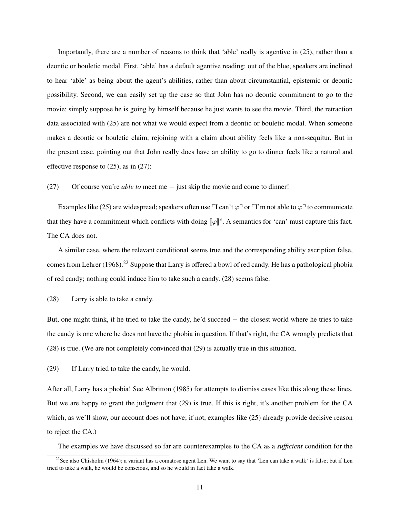Importantly, there are a number of reasons to think that 'able' really is agentive in [\(25\),](#page-9-2) rather than a deontic or bouletic modal. First, 'able' has a default agentive reading: out of the blue, speakers are inclined to hear 'able' as being about the agent's abilities, rather than about circumstantial, epistemic or deontic possibility. Second, we can easily set up the case so that John has no deontic commitment to go to the movie: simply suppose he is going by himself because he just wants to see the movie. Third, the retraction data associated with [\(25\)](#page-9-2) are not what we would expect from a deontic or bouletic modal. When someone makes a deontic or bouletic claim, rejoining with a claim about ability feels like a non-sequitur. But in the present case, pointing out that John really does have an ability to go to dinner feels like a natural and effective response to [\(25\),](#page-9-2) as in [\(27\):](#page-10-0)

<span id="page-10-0"></span>(27) Of course you're *able to* meet me − just skip the movie and come to dinner!

Examples like [\(25\)](#page-9-2) are widespread; speakers often use  $\ulcorner$ I can't  $\varphi \urcorner$  or  $\ulcorner$ I'm not able to  $\varphi \urcorner$  to communicate that they have a commitment which conflicts with doing  $[\![\varphi]\!]^c$ . A semantics for 'can' must capture this fact. The CA does not.

A similar case, where the relevant conditional seems true and the corresponding ability ascription false, comes from [Lehrer](#page-37-27) [\(1968\)](#page-37-27).<sup>[22](#page-0-3)</sup> Suppose that Larry is offered a bowl of red candy. He has a pathological phobia of red candy; nothing could induce him to take such a candy. (28) seems false.

(28) Larry is able to take a candy.

But, one might think, if he tried to take the candy, he'd succeed − the closest world where he tries to take the candy is one where he does not have the phobia in question. If that's right, the CA wrongly predicts that (28) is true. (We are not completely convinced that (29) is actually true in this situation.

(29) If Larry tried to take the candy, he would.

After all, Larry has a phobia! See [Albritton](#page-36-4) [\(1985\)](#page-36-4) for attempts to dismiss cases like this along these lines. But we are happy to grant the judgment that (29) is true. If this is right, it's another problem for the CA which, as we'll show, our account does not have; if not, examples like [\(25\)](#page-9-2) already provide decisive reason to reject the CA.)

The examples we have discussed so far are counterexamples to the CA as a *sufficient* condition for the

<sup>&</sup>lt;sup>22</sup>See also [Chisholm](#page-37-28) [\(1964\)](#page-37-28); a variant has a comatose agent Len. We want to say that 'Len can take a walk' is false; but if Len tried to take a walk, he would be conscious, and so he would in fact take a walk.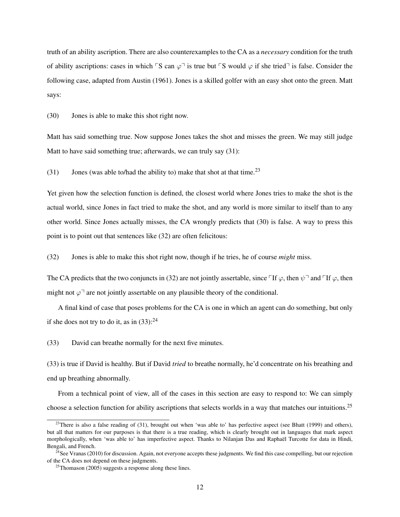truth of an ability ascription. There are also counterexamples to the CA as a *necessary* condition for the truth of ability ascriptions: cases in which  $\nabla$  can  $\varphi$ <sup> $\bar{\phantom{a}}$ </sup> is true but  $\nabla$ S would  $\varphi$  if she tried $\bar{\phantom{a}}$  is false. Consider the following case, adapted from [Austin](#page-36-5) [\(1961\)](#page-36-5). Jones is a skilled golfer with an easy shot onto the green. Matt says:

<span id="page-11-0"></span>(30) Jones is able to make this shot right now.

Matt has said something true. Now suppose Jones takes the shot and misses the green. We may still judge Matt to have said something true; afterwards, we can truly say (31):

<span id="page-11-1"></span>(31) Jones (was able to/had the ability to) make that shot at that time.<sup>[23](#page-0-3)</sup>

Yet given how the selection function is defined, the closest world where Jones tries to make the shot is the actual world, since Jones in fact tried to make the shot, and any world is more similar to itself than to any other world. Since Jones actually misses, the CA wrongly predicts that [\(30\)](#page-11-0) is false. A way to press this point is to point out that sentences like (32) are often felicitous:

(32) Jones is able to make this shot right now, though if he tries, he of course *might* miss.

The CA predicts that the two conjuncts in (32) are not jointly assertable, since  $\Gamma$ If  $\varphi$ , then  $\psi$ <sup> $\Gamma$ </sup> and  $\Gamma$ If  $\varphi$ , then might not  $\varphi$ <sup>-</sup> are not jointly assertable on any plausible theory of the conditional.

A final kind of case that poses problems for the CA is one in which an agent can do something, but only if she does not try to do it, as in  $(33)$ : <sup>[24](#page-0-3)</sup>

<span id="page-11-2"></span>(33) David can breathe normally for the next five minutes.

(33) is true if David is healthy. But if David *tried* to breathe normally, he'd concentrate on his breathing and end up breathing abnormally.

From a technical point of view, all of the cases in this section are easy to respond to: We can simply choose a selection function for ability ascriptions that selects worlds in a way that matches our intuitions.[25](#page-0-3)

<sup>&</sup>lt;sup>23</sup>There is also a false reading of [\(31\),](#page-11-1) brought out when 'was able to' has perfective aspect (see [Bhatt](#page-36-6) [\(1999\)](#page-36-6) and others), but all that matters for our purposes is that there is a true reading, which is clearly brought out in languages that mark aspect morphologically, when 'was able to' has imperfective aspect. Thanks to Nilanjan Das and Raphaël Turcotte for data in Hindi, Bengali, and French.

<sup>&</sup>lt;sup>24</sup>See [Vranas](#page-38-3) [\(2010\)](#page-38-3) for discussion. Again, not everyone accepts these judgments. We find this case compelling, but our rejection of the CA does not depend on these judgments.

 $^{25}$ [Thomason](#page-37-24) [\(2005\)](#page-37-24) suggests a response along these lines.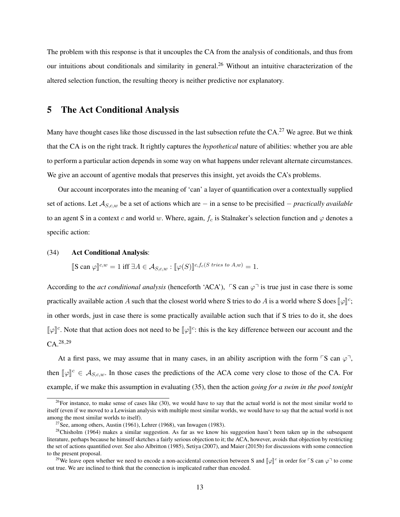The problem with this response is that it uncouples the CA from the analysis of conditionals, and thus from our intuitions about conditionals and similarity in general.<sup>[26](#page-0-3)</sup> Without an intuitive characterization of the altered selection function, the resulting theory is neither predictive nor explanatory.

## 5 The Act Conditional Analysis

Many have thought cases like those discussed in the last subsection refute the CA.<sup>[27](#page-0-3)</sup> We agree. But we think that the CA is on the right track. It rightly captures the *hypothetical* nature of abilities: whether you are able to perform a particular action depends in some way on what happens under relevant alternate circumstances. We give an account of agentive modals that preserves this insight, yet avoids the CA's problems.

Our account incorporates into the meaning of 'can' a layer of quantification over a contextually supplied set of actions. Let  $A_{S,c,w}$  be a set of actions which are − in a sense to be precisified − *practically available* to an agent S in a context c and world w. Where, again,  $f_c$  is Stalnaker's selection function and  $\varphi$  denotes a specific action:

#### (34) Act Conditional Analysis:

$$
[\mathbf{S}\text{ can }\varphi]\!]^{c,w} = 1 \text{ iff } \exists A \in \mathcal{A}_{S,c,w} : [\![\varphi(S)]\!]^{c,f_c(S \text{ tries to } A,w)} = 1.
$$

According to the *act conditional analysis* (henceforth 'ACA'),  $\nabla$  s can  $\varphi$ <sup> $\nabla$ </sup> is true just in case there is some practically available action A such that the closest world where S tries to do A is a world where S does  $[\![\varphi]\!]^c$ ; in other words, just in case there is some practically available action such that if S tries to do it, she does  $[\![\varphi]\!]^c$ . Note that that action does not need to be  $[\![\varphi]\!]^c$ : this is the key difference between our account and the CA.[28](#page-0-3),[29](#page-0-3)

At a first pass, we may assume that in many cases, in an ability ascription with the form  $\ulcorner S$  can  $\varphi \urcorner$ , then  $[\![\varphi]\!]^c \in A_{S,c,w}$ . In those cases the predictions of the ACA come very close to those of the CA. For example, if we make this assumption in evaluating (35), then the action *going for a swim in the pool tonight*

<sup>&</sup>lt;sup>26</sup>For instance, to make sense of cases like [\(30\),](#page-11-0) we would have to say that the actual world is not the most similar world to itself (even if we moved to a Lewisian analysis with multiple most similar worlds, we would have to say that the actual world is not among the most similar worlds to itself).

 $27$ See, among others, [Austin](#page-36-5) [\(1961\)](#page-36-5), [Lehrer](#page-37-27) [\(1968\)](#page-37-27), [van Inwagen](#page-37-29) [\(1983\)](#page-37-29).

 $28$ [Chisholm](#page-37-28) [\(1964\)](#page-37-28) makes a similar suggestion. As far as we know his suggestion hasn't been taken up in the subsequent literature, perhaps because he himself sketches a fairly serious objection to it; the ACA, however, avoids that objection by restricting the set of actions quantified over. See also [Albritton](#page-36-4) [\(1985\)](#page-36-4), [Setiya](#page-37-17) [\(2007\)](#page-37-17), and [Maier](#page-37-14) [\(2015b\)](#page-37-14) for discussions with some connection to the present proposal.

<sup>&</sup>lt;sup>29</sup>We leave open whether we need to encode a non-accidental connection between S and  $[\varphi]^{c}$  in order for <sup>p</sup>S can  $\varphi$ <sup>-1</sup> to come out true. We are inclined to think that the connection is implicated rather than encoded.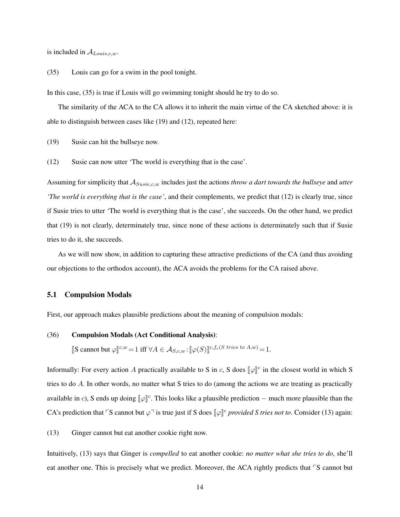is included in  $A_{Louis.c.w.}$ 

(35) Louis can go for a swim in the pool tonight.

In this case, (35) is true if Louis will go swimming tonight should he try to do so.

The similarity of the ACA to the CA allows it to inherit the main virtue of the CA sketched above: it is able to distinguish between cases like [\(19\)](#page-8-0) and [\(12\),](#page-4-1) repeated here:

[\(19\)](#page-8-0) Susie can hit the bullseye now.

[\(12\)](#page-4-1) Susie can now utter 'The world is everything that is the case'.

Assuming for simplicity that  $A_{Susie,c,w}$  includes just the actions *throw a dart towards the bullseye* and *utter 'The world is everything that is the case'*, and their complements, we predict that [\(12\)](#page-4-1) is clearly true, since if Susie tries to utter 'The world is everything that is the case', she succeeds. On the other hand, we predict that [\(19\)](#page-8-0) is not clearly, determinately true, since none of these actions is determinately such that if Susie tries to do it, she succeeds.

As we will now show, in addition to capturing these attractive predictions of the CA (and thus avoiding our objections to the orthodox account), the ACA avoids the problems for the CA raised above.

#### 5.1 Compulsion Modals

First, our approach makes plausible predictions about the meaning of compulsion modals:

#### (36) Compulsion Modals (Act Conditional Analysis):

 $\llbracket S \text{ cannot but } \varphi \rrbracket^{c,w} = 1 \text{ iff } \forall A \in \mathcal{A}_{S,c,w} : \llbracket \varphi(S) \rrbracket^{c,f_c(S \text{ tries to } A,w)} = 1.$ 

Informally: For every action A practically available to S in c, S does  $[\varphi]^{c}$  in the closest world in which S tries to do A. In other words, no matter what S tries to do (among the actions we are treating as practically available in *c*), S ends up doing  $[\varphi]^{c}$ . This looks like a plausible prediction – much more plausible than the CA's prediction that <sup> $\Gamma$ </sup>S cannot but  $\varphi^{\top}$  is true just if S does  $[\varphi]^{c}$  *provided S tries not to*. Consider [\(13\)](#page-6-0) again:

[\(13\)](#page-6-0) Ginger cannot but eat another cookie right now.

Intuitively, [\(13\)](#page-6-0) says that Ginger is *compelled* to eat another cookie: *no matter what she tries to do*, she'll eat another one. This is precisely what we predict. Moreover, the ACA rightly predicts that  $\sqrt{S}$  cannot but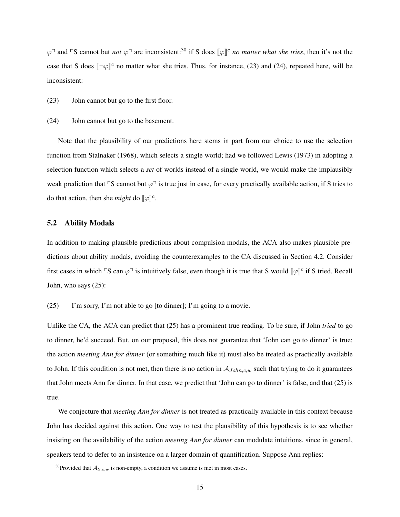$\varphi$ <sup> $\lceil \varphi \rceil$  and  $\lceil S \rceil$  cannot but *not*  $\varphi$ <sup> $\lceil \varphi \rceil$  are inconsistent:<sup>[30](#page-0-3)</sup> if S does  $\lbrack \lbrack \varphi \rbrack$ <sup>c</sup> *no matter what she tries*, then it's not the</sup></sup> case that S does  $[\neg \varphi]^{c}$  no matter what she tries. Thus, for instance, [\(23\)](#page-9-0) and [\(24\),](#page-9-1) repeated here, will be inconsistent:

- [\(23\)](#page-9-0) John cannot but go to the first floor.
- [\(24\)](#page-9-1) John cannot but go to the basement.

Note that the plausibility of our predictions here stems in part from our choice to use the selection function from [Stalnaker](#page-37-18) [\(1968\)](#page-37-18), which selects a single world; had we followed [Lewis](#page-37-30) [\(1973\)](#page-37-30) in adopting a selection function which selects a *set* of worlds instead of a single world, we would make the implausibly weak prediction that  $\ulcorner$ S cannot but  $\varphi \urcorner$  is true just in case, for every practically available action, if S tries to do that action, then she *might* do  $[\varphi]^{c}$ .

### <span id="page-14-0"></span>5.2 Ability Modals

In addition to making plausible predictions about compulsion modals, the ACA also makes plausible predictions about ability modals, avoiding the counterexamples to the CA discussed in Section [4.2.](#page-9-3) Consider first cases in which  $\ulcorner$ S can  $\varphi \urcorner$  is intuitively false, even though it is true that S would  $[\![\varphi]\!]^c$  if S tried. Recall John, who says [\(25\):](#page-9-2)

[\(25\)](#page-9-2) I'm sorry, I'm not able to go [to dinner]; I'm going to a movie.

Unlike the CA, the ACA can predict that [\(25\)](#page-9-2) has a prominent true reading. To be sure, if John *tried* to go to dinner, he'd succeed. But, on our proposal, this does not guarantee that 'John can go to dinner' is true: the action *meeting Ann for dinner* (or something much like it) must also be treated as practically available to John. If this condition is not met, then there is no action in  $A_{John,c,w}$  such that trying to do it guarantees that John meets Ann for dinner. In that case, we predict that 'John can go to dinner' is false, and that [\(25\)](#page-9-2) is true.

We conjecture that *meeting Ann for dinner* is not treated as practically available in this context because John has decided against this action. One way to test the plausibility of this hypothesis is to see whether insisting on the availability of the action *meeting Ann for dinner* can modulate intuitions, since in general, speakers tend to defer to an insistence on a larger domain of quantification. Suppose Ann replies:

<sup>&</sup>lt;sup>30</sup>Provided that  $A_{S,c,w}$  is non-empty, a condition we assume is met in most cases.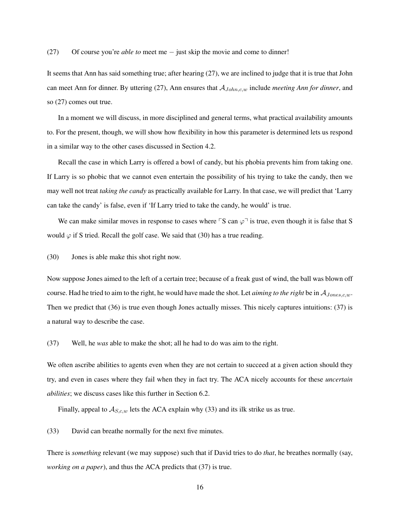[\(27\)](#page-10-0) Of course you're *able to* meet me − just skip the movie and come to dinner!

It seems that Ann has said something true; after hearing [\(27\),](#page-10-0) we are inclined to judge that it is true that John can meet Ann for dinner. By uttering [\(27\),](#page-10-0) Ann ensures that AJohn,c,w include *meeting Ann for dinner*, and so [\(27\)](#page-10-0) comes out true.

In a moment we will discuss, in more disciplined and general terms, what practical availability amounts to. For the present, though, we will show how flexibility in how this parameter is determined lets us respond in a similar way to the other cases discussed in Section [4.2.](#page-9-3)

Recall the case in which Larry is offered a bowl of candy, but his phobia prevents him from taking one. If Larry is so phobic that we cannot even entertain the possibility of his trying to take the candy, then we may well not treat *taking the candy* as practically available for Larry. In that case, we will predict that 'Larry can take the candy' is false, even if 'If Larry tried to take the candy, he would' is true.

We can make similar moves in response to cases where  $\ulcorner S$  can  $\varphi \urcorner$  is true, even though it is false that S would  $\varphi$  if S tried. Recall the golf case. We said that [\(30\)](#page-11-0) has a true reading.

[\(30\)](#page-11-0) Jones is able make this shot right now.

Now suppose Jones aimed to the left of a certain tree; because of a freak gust of wind, the ball was blown off course. Had he tried to aim to the right, he would have made the shot. Let *aiming to the right* be in  $A_{Jones,c,w}$ . Then we predict that (36) is true even though Jones actually misses. This nicely captures intuitions: (37) is a natural way to describe the case.

<span id="page-15-0"></span>(37) Well, he *was* able to make the shot; all he had to do was aim to the right.

We often ascribe abilities to agents even when they are not certain to succeed at a given action should they try, and even in cases where they fail when they in fact try. The ACA nicely accounts for these *uncertain abilities*; we discuss cases like this further in Section [6.2.](#page-28-0)

Finally, appeal to  $A_{S,c,w}$  lets the ACA explain why [\(33\)](#page-11-2) and its ilk strike us as true.

[\(33\)](#page-11-2) David can breathe normally for the next five minutes.

There is *something* relevant (we may suppose) such that if David tries to do *that*, he breathes normally (say, *working on a paper*), and thus the ACA predicts that (37) is true.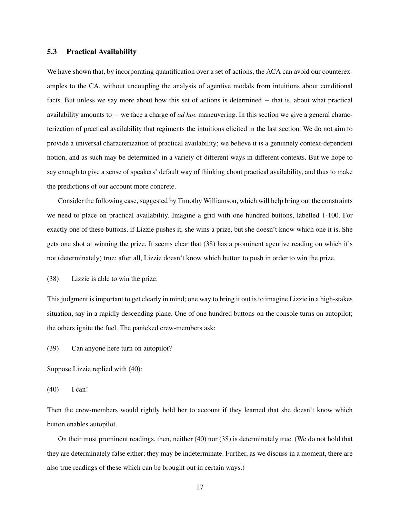## 5.3 Practical Availability

We have shown that, by incorporating quantification over a set of actions, the ACA can avoid our counterexamples to the CA, without uncoupling the analysis of agentive modals from intuitions about conditional facts. But unless we say more about how this set of actions is determined − that is, about what practical availability amounts to − we face a charge of *ad hoc* maneuvering. In this section we give a general characterization of practical availability that regiments the intuitions elicited in the last section. We do not aim to provide a universal characterization of practical availability; we believe it is a genuinely context-dependent notion, and as such may be determined in a variety of different ways in different contexts. But we hope to say enough to give a sense of speakers' default way of thinking about practical availability, and thus to make the predictions of our account more concrete.

Consider the following case, suggested by Timothy Williamson, which will help bring out the constraints we need to place on practical availability. Imagine a grid with one hundred buttons, labelled 1-100. For exactly one of these buttons, if Lizzie pushes it, she wins a prize, but she doesn't know which one it is. She gets one shot at winning the prize. It seems clear that [\(38\)](#page-16-0) has a prominent agentive reading on which it's not (determinately) true; after all, Lizzie doesn't know which button to push in order to win the prize.

<span id="page-16-0"></span>(38) Lizzie is able to win the prize.

This judgment is important to get clearly in mind; one way to bring it out is to imagine Lizzie in a high-stakes situation, say in a rapidly descending plane. One of one hundred buttons on the console turns on autopilot; the others ignite the fuel. The panicked crew-members ask:

(39) Can anyone here turn on autopilot?

Suppose Lizzie replied with (40):

(40) I can!

Then the crew-members would rightly hold her to account if they learned that she doesn't know which button enables autopilot.

On their most prominent readings, then, neither (40) nor [\(38\)](#page-16-0) is determinately true. (We do not hold that they are determinately false either; they may be indeterminate. Further, as we discuss in a moment, there are also true readings of these which can be brought out in certain ways.)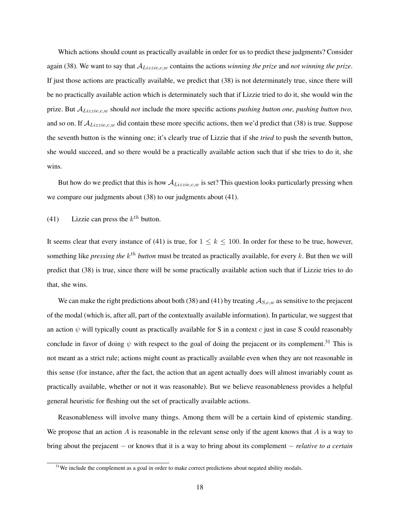Which actions should count as practically available in order for us to predict these judgments? Consider again [\(38\).](#page-16-0) We want to say that ALizzie,c,w contains the actions *winning the prize* and *not winning the prize*. If just those actions are practically available, we predict that [\(38\)](#page-16-0) is not determinately true, since there will be no practically available action which is determinately such that if Lizzie tried to do it, she would win the prize. But ALizzie,c,w should *not* include the more specific actions *pushing button one, pushing button two,* and so on. If  $A_{Lizzie,c,w}$  did contain these more specific actions, then we'd predict that [\(38\)](#page-16-0) is true. Suppose the seventh button is the winning one; it's clearly true of Lizzie that if she *tried* to push the seventh button, she would succeed, and so there would be a practically available action such that if she tries to do it, she wins.

But how do we predict that this is how  $A_{Lizzie,c,w}$  is set? This question looks particularly pressing when we compare our judgments about [\(38\)](#page-16-0) to our judgments about [\(41\).](#page-17-0)

<span id="page-17-0"></span>(41) Lizzie can press the  $k^{th}$  button.

It seems clear that every instance of (41) is true, for  $1 \leq k \leq 100$ . In order for these to be true, however, something like *pressing the*  $k^{th}$  *button* must be treated as practically available, for every k. But then we will predict that [\(38\)](#page-16-0) is true, since there will be some practically available action such that if Lizzie tries to do that, she wins.

We can make the right predictions about both [\(38\)](#page-16-0) and [\(41\)](#page-17-0) by treating  $A_{S,c,w}$  as sensitive to the prejacent of the modal (which is, after all, part of the contextually available information). In particular, we suggest that an action  $\psi$  will typically count as practically available for S in a context c just in case S could reasonably conclude in favor of doing  $\psi$  with respect to the goal of doing the prejacent or its complement.<sup>[31](#page-0-3)</sup> This is not meant as a strict rule; actions might count as practically available even when they are not reasonable in this sense (for instance, after the fact, the action that an agent actually does will almost invariably count as practically available, whether or not it was reasonable). But we believe reasonableness provides a helpful general heuristic for fleshing out the set of practically available actions.

Reasonableness will involve many things. Among them will be a certain kind of epistemic standing. We propose that an action A is reasonable in the relevant sense only if the agent knows that A is a way to bring about the prejacent − or knows that it is a way to bring about its complement − *relative to a certain*

 $31$ We include the complement as a goal in order to make correct predictions about negated ability modals.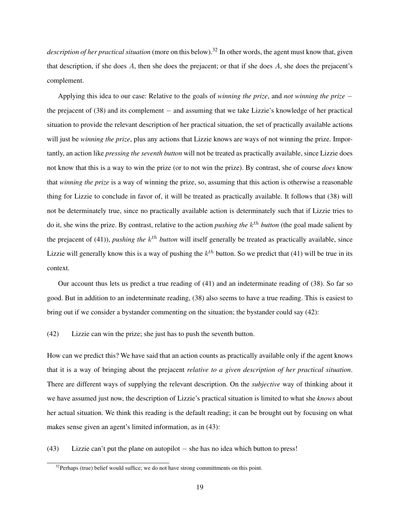*description of her practical situation* (more on this below).<sup>[32](#page-0-3)</sup> In other words, the agent must know that, given that description, if she does A, then she does the prejacent; or that if she does A, she does the prejacent's complement.

Applying this idea to our case: Relative to the goals of *winning the prize*, and *not winning the prize* − the prejacent of [\(38\)](#page-16-0) and its complement − and assuming that we take Lizzie's knowledge of her practical situation to provide the relevant description of her practical situation, the set of practically available actions will just be *winning the prize*, plus any actions that Lizzie knows are ways of not winning the prize. Importantly, an action like *pressing the seventh button* will not be treated as practically available, since Lizzie does not know that this is a way to win the prize (or to not win the prize). By contrast, she of course *does* know that *winning the prize* is a way of winning the prize, so, assuming that this action is otherwise a reasonable thing for Lizzie to conclude in favor of, it will be treated as practically available. It follows that [\(38\)](#page-16-0) will not be determinately true, since no practically available action is determinately such that if Lizzie tries to do it, she wins the prize. By contrast, relative to the action *pushing the* k th *button* (the goal made salient by the prejacent of [\(41\)\)](#page-17-0), *pushing the k<sup>th</sup> button* will itself generally be treated as practically available, since Lizzie will generally know this is a way of pushing the  $k^{th}$  button. So we predict that [\(41\)](#page-17-0) will be true in its context.

Our account thus lets us predict a true reading of [\(41\)](#page-17-0) and an indeterminate reading of [\(38\).](#page-16-0) So far so good. But in addition to an indeterminate reading, [\(38\)](#page-16-0) also seems to have a true reading. This is easiest to bring out if we consider a bystander commenting on the situation; the bystander could say (42):

<span id="page-18-0"></span>(42) Lizzie can win the prize; she just has to push the seventh button.

How can we predict this? We have said that an action counts as practically available only if the agent knows that it is a way of bringing about the prejacent *relative to a given description of her practical situation*. There are different ways of supplying the relevant description. On the *subjective* way of thinking about it we have assumed just now, the description of Lizzie's practical situation is limited to what she *knows* about her actual situation. We think this reading is the default reading; it can be brought out by focusing on what makes sense given an agent's limited information, as in (43):

(43) Lizzie can't put the plane on autopilot − she has no idea which button to press!

 $32$ Perhaps (true) belief would suffice; we do not have strong committments on this point.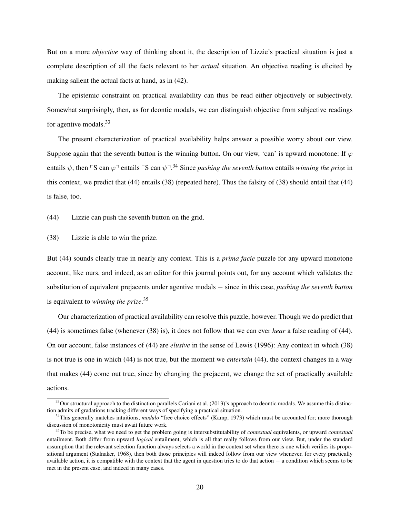But on a more *objective* way of thinking about it, the description of Lizzie's practical situation is just a complete description of all the facts relevant to her *actual* situation. An objective reading is elicited by making salient the actual facts at hand, as in [\(42\).](#page-18-0)

The epistemic constraint on practical availability can thus be read either objectively or subjectively. Somewhat surprisingly, then, as for deontic modals, we can distinguish objective from subjective readings for agentive modals.[33](#page-0-3)

The present characterization of practical availability helps answer a possible worry about our view. Suppose again that the seventh button is the winning button. On our view, 'can' is upward monotone: If  $\varphi$ entails  $\psi$ , then  $\ulcorner$ S can  $\varphi \urcorner$  entails  $\ulcorner$ S can  $\psi \urcorner$ <sup>[34](#page-0-3)</sup> Since *pushing the seventh button* entails *winning the prize* in this context, we predict that (44) entails [\(38\)](#page-16-0) (repeated here). Thus the falsity of [\(38\)](#page-16-0) should entail that (44) is false, too.

<span id="page-19-0"></span>(44) Lizzie can push the seventh button on the grid.

[\(38\)](#page-16-0) Lizzie is able to win the prize.

But [\(44\)](#page-19-0) sounds clearly true in nearly any context. This is a *prima facie* puzzle for any upward monotone account, like ours, and indeed, as an editor for this journal points out, for any account which validates the substitution of equivalent prejacents under agentive modals − since in this case, *pushing the seventh button* is equivalent to *winning the prize*. [35](#page-0-3)

Our characterization of practical availability can resolve this puzzle, however. Though we do predict that [\(44\)](#page-19-0) is sometimes false (whenever [\(38\)](#page-16-0) is), it does not follow that we can ever *hear* a false reading of [\(44\).](#page-19-0) On our account, false instances of [\(44\)](#page-19-0) are *elusive* in the sense of [Lewis](#page-37-31) [\(1996\)](#page-37-31): Any context in which [\(38\)](#page-16-0) is not true is one in which [\(44\)](#page-19-0) is not true, but the moment we *entertain* [\(44\),](#page-19-0) the context changes in a way that makes [\(44\)](#page-19-0) come out true, since by changing the prejacent, we change the set of practically available actions.

 $33$ Our structural approach to the distinction parallels [Cariani et al.](#page-37-32) [\(2013\)](#page-37-32)'s approach to deontic modals. We assume this distinction admits of gradations tracking different ways of specifying a practical situation.

<sup>&</sup>lt;sup>34</sup>This generally matches intuitions, *modulo* "free choice effects" [\(Kamp, 1973\)](#page-37-33) which must be accounted for; more thorough discussion of monotonicity must await future work.

<sup>35</sup>To be precise, what we need to get the problem going is intersubstitutability of *contextual* equivalents, or upward *contextual* entailment. Both differ from upward *logical* entailment, which is all that really follows from our view. But, under the standard assumption that the relevant selection function always selects a world in the context set when there is one which verifies its propositional argument [\(Stalnaker, 1968\)](#page-37-18), then both those principles will indeed follow from our view whenever, for every practically available action, it is compatible with the context that the agent in question tries to do that action − a condition which seems to be met in the present case, and indeed in many cases.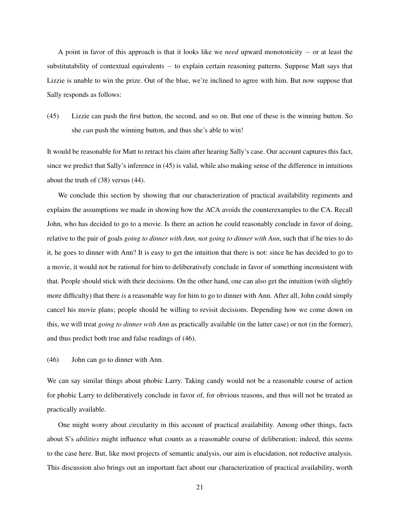A point in favor of this approach is that it looks like we *need* upward monotonicity − or at least the substitutability of contextual equivalents – to explain certain reasoning patterns. Suppose Matt says that Lizzie is unable to win the prize. Out of the blue, we're inclined to agree with him. But now suppose that Sally responds as follows:

(45) Lizzie can push the first button, the second, and so on. But one of these is the winning button. So she *can* push the winning button, and thus she's able to win!

It would be reasonable for Matt to retract his claim after hearing Sally's case. Our account captures this fact, since we predict that Sally's inference in (45) is valid, while also making sense of the difference in intuitions about the truth of [\(38\)](#page-16-0) versus [\(44\).](#page-19-0)

We conclude this section by showing that our characterization of practical availability regiments and explains the assumptions we made in showing how the ACA avoids the counterexamples to the CA. Recall John, who has decided to go to a movie. Is there an action he could reasonably conclude in favor of doing, relative to the pair of goals *going to dinner with Ann, not going to dinner with Ann*, such that if he tries to do it, he goes to dinner with Ann? It is easy to get the intuition that there is not: since he has decided to go to a movie, it would not be rational for him to deliberatively conclude in favor of something inconsistent with that. People should stick with their decisions. On the other hand, one can also get the intuition (with slightly more difficulty) that there *is* a reasonable way for him to go to dinner with Ann. After all, John could simply cancel his movie plans; people should be willing to revisit decisions. Depending how we come down on this, we will treat *going to dinner with Ann* as practically available (in the latter case) or not (in the former), and thus predict both true and false readings of (46).

(46) John can go to dinner with Ann.

We can say similar things about phobic Larry. Taking candy would not be a reasonable course of action for phobic Larry to deliberatively conclude in favor of, for obvious reasons, and thus will not be treated as practically available.

One might worry about circularity in this account of practical availability. Among other things, facts about S's *abilities* might influence what counts as a reasonable course of deliberation; indeed, this seems to the case here. But, like most projects of semantic analysis, our aim is elucidation, not reductive analysis. This discussion also brings out an important fact about our characterization of practical availability, worth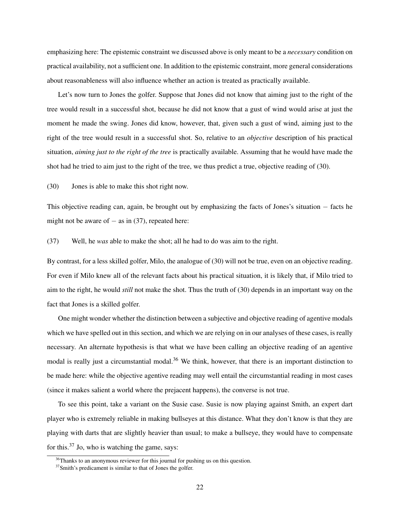emphasizing here: The epistemic constraint we discussed above is only meant to be a *necessary* condition on practical availability, not a sufficient one. In addition to the epistemic constraint, more general considerations about reasonableness will also influence whether an action is treated as practically available.

Let's now turn to Jones the golfer. Suppose that Jones did not know that aiming just to the right of the tree would result in a successful shot, because he did not know that a gust of wind would arise at just the moment he made the swing. Jones did know, however, that, given such a gust of wind, aiming just to the right of the tree would result in a successful shot. So, relative to an *objective* description of his practical situation, *aiming just to the right of the tree* is practically available. Assuming that he would have made the shot had he tried to aim just to the right of the tree, we thus predict a true, objective reading of [\(30\).](#page-11-0)

[\(30\)](#page-11-0) Jones is able to make this shot right now.

This objective reading can, again, be brought out by emphasizing the facts of Jones's situation − facts he might not be aware of  $-$  as in [\(37\),](#page-15-0) repeated here:

[\(37\)](#page-15-0) Well, he *was* able to make the shot; all he had to do was aim to the right.

By contrast, for a less skilled golfer, Milo, the analogue of [\(30\)](#page-11-0) will not be true, even on an objective reading. For even if Milo knew all of the relevant facts about his practical situation, it is likely that, if Milo tried to aim to the right, he would *still* not make the shot. Thus the truth of [\(30\)](#page-11-0) depends in an important way on the fact that Jones is a skilled golfer.

One might wonder whether the distinction between a subjective and objective reading of agentive modals which we have spelled out in this section, and which we are relying on in our analyses of these cases, is really necessary. An alternate hypothesis is that what we have been calling an objective reading of an agentive modal is really just a circumstantial modal.<sup>[36](#page-0-3)</sup> We think, however, that there is an important distinction to be made here: while the objective agentive reading may well entail the circumstantial reading in most cases (since it makes salient a world where the prejacent happens), the converse is not true.

To see this point, take a variant on the Susie case. Susie is now playing against Smith, an expert dart player who is extremely reliable in making bullseyes at this distance. What they don't know is that they are playing with darts that are slightly heavier than usual; to make a bullseye, they would have to compensate for this. $37$  Jo, who is watching the game, says:

<span id="page-21-0"></span> $36$ Thanks to an anonymous reviewer for this journal for pushing us on this question.

<sup>&</sup>lt;sup>37</sup>Smith's predicament is similar to that of Jones the golfer.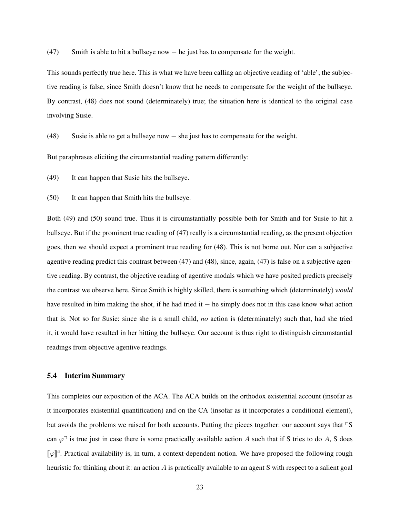(47) Smith is able to hit a bullseye now − he just has to compensate for the weight.

This sounds perfectly true here. This is what we have been calling an objective reading of 'able'; the subjective reading is false, since Smith doesn't know that he needs to compensate for the weight of the bullseye. By contrast, [\(48\)](#page-22-0) does not sound (determinately) true; the situation here is identical to the original case involving Susie.

<span id="page-22-0"></span>(48) Susie is able to get a bullseye now − she just has to compensate for the weight.

<span id="page-22-1"></span>But paraphrases eliciting the circumstantial reading pattern differently:

(49) It can happen that Susie hits the bullseye.

<span id="page-22-2"></span>(50) It can happen that Smith hits the bullseye.

Both [\(49\)](#page-22-1) and [\(50\)](#page-22-2) sound true. Thus it is circumstantially possible both for Smith and for Susie to hit a bullseye. But if the prominent true reading of [\(47\)](#page-21-0) really is a circumstantial reading, as the present objection goes, then we should expect a prominent true reading for [\(48\).](#page-22-0) This is not borne out. Nor can a subjective agentive reading predict this contrast between [\(47\)](#page-21-0) and [\(48\),](#page-22-0) since, again, [\(47\)](#page-21-0) is false on a subjective agentive reading. By contrast, the objective reading of agentive modals which we have posited predicts precisely the contrast we observe here. Since Smith is highly skilled, there is something which (determinately) *would* have resulted in him making the shot, if he had tried it − he simply does not in this case know what action that is. Not so for Susie: since she is a small child, *no* action is (determinately) such that, had she tried it, it would have resulted in her hitting the bullseye. Our account is thus right to distinguish circumstantial readings from objective agentive readings.

#### 5.4 Interim Summary

This completes our exposition of the ACA. The ACA builds on the orthodox existential account (insofar as it incorporates existential quantification) and on the CA (insofar as it incorporates a conditional element), but avoids the problems we raised for both accounts. Putting the pieces together: our account says that  $\sqrt{S}$ can  $\varphi$ <sup>-</sup> is true just in case there is some practically available action A such that if S tries to do A, S does  $[\![\varphi]\!]^c$ . Practical availability is, in turn, a context-dependent notion. We have proposed the following rough heuristic for thinking about it: an action A is practically available to an agent S with respect to a salient goal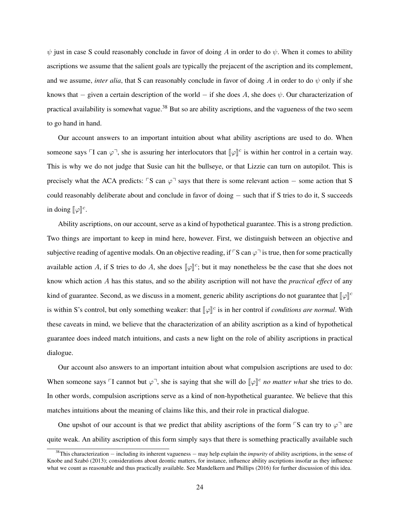$\psi$  just in case S could reasonably conclude in favor of doing A in order to do  $\psi$ . When it comes to ability ascriptions we assume that the salient goals are typically the prejacent of the ascription and its complement, and we assume, *inter alia*, that S can reasonably conclude in favor of doing A in order to do  $\psi$  only if she knows that  $-$  given a certain description of the world  $-$  if she does A, she does  $\psi$ . Our characterization of practical availability is somewhat vague.<sup>[38](#page-0-3)</sup> But so are ability ascriptions, and the vagueness of the two seem to go hand in hand.

Our account answers to an important intuition about what ability ascriptions are used to do. When someone says  $\ulcorner$ I can  $\varphi \urcorner$ , she is assuring her interlocutors that  $\llbracket \varphi \rrbracket^c$  is within her control in a certain way. This is why we do not judge that Susie can hit the bullseye, or that Lizzie can turn on autopilot. This is precisely what the ACA predicts:  $\sqrt{S}$  can  $\varphi$ <sup>3</sup> says that there is some relevant action − some action that S could reasonably deliberate about and conclude in favor of doing − such that if S tries to do it, S succeeds in doing  $[\![\varphi]\!]^c$ .

Ability ascriptions, on our account, serve as a kind of hypothetical guarantee. This is a strong prediction. Two things are important to keep in mind here, however. First, we distinguish between an objective and subjective reading of agentive modals. On an objective reading, if  $\ulcorner$  S can  $\varphi \urcorner$  is true, then for some practically available action A, if S tries to do A, she does  $[\varphi]^{c}$ ; but it may nonetheless be the case that she does not know which action A has this status, and so the ability ascription will not have the *practical effect* of any kind of guarantee. Second, as we discuss in a moment, generic ability ascriptions do not guarantee that  $[\![\varphi]\!]^c$ is within S's control, but only something weaker: that  $[\![\varphi]\!]^c$  is in her control if *conditions are normal*. With these caveats in mind, we believe that the characterization of an ability ascription as a kind of hypothetical guarantee does indeed match intuitions, and casts a new light on the role of ability ascriptions in practical dialogue.

Our account also answers to an important intuition about what compulsion ascriptions are used to do: When someone says  $\ulcorner I$  cannot but  $\varphi \urcorner$ , she is saying that she will do  $[\varphi]]^c$  *no matter what* she tries to do. In other words, compulsion ascriptions serve as a kind of non-hypothetical guarantee. We believe that this matches intuitions about the meaning of claims like this, and their role in practical dialogue.

One upshot of our account is that we predict that ability ascriptions of the form  $\ulcorner S$  can try to  $\varphi \urcorner$  are quite weak. An ability ascription of this form simply says that there is something practically available such

<sup>38</sup>This characterization − including its inherent vagueness − may help explain the *impurity* of ability ascriptions, in the sense of Knobe and Szabó [\(2013\)](#page-37-34); considerations about deontic matters, for instance, influence ability ascriptions insofar as they influence what we count as reasonable and thus practically available. See [Mandelkern and Phillips](#page-37-35) [\(2016\)](#page-37-35) for further discussion of this idea.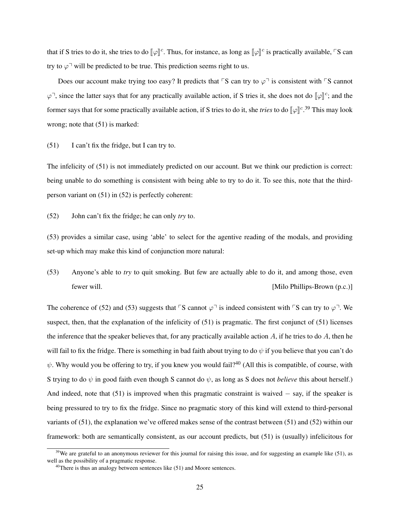that if S tries to do it, she tries to do  $[\![\varphi]\!]^c$ . Thus, for instance, as long as  $[\![\varphi]\!]^c$  is practically available,  $\ulcorner$ S can try to  $\varphi$ <sup>-1</sup> will be predicted to be true. This prediction seems right to us.

Does our account make trying too easy? It predicts that  $\ulcorner S$  can try to  $\varphi \urcorner$  is consistent with  $\ulcorner S$  cannot  $\varphi$ <sup>-</sup>, since the latter says that for any practically available action, if S tries it, she does not do  $[\varphi]$ <sup>c</sup>; and the former says that for some practically available action, if S tries to do it, she *tries* to do  $[\varphi]^{c}$ .<sup>[39](#page-0-3)</sup> This may look wrong; note that (51) is marked:

<span id="page-24-0"></span>(51) I can't fix the fridge, but I can try to.

The infelicity of (51) is not immediately predicted on our account. But we think our prediction is correct: being unable to do something is consistent with being able to try to do it. To see this, note that the thirdperson variant on [\(51\)](#page-24-0) in (52) is perfectly coherent:

<span id="page-24-1"></span>(52) John can't fix the fridge; he can only *try* to.

(53) provides a similar case, using 'able' to select for the agentive reading of the modals, and providing set-up which may make this kind of conjunction more natural:

(53) Anyone's able to *try* to quit smoking. But few are actually able to do it, and among those, even fewer will. **[Milo Phillips-Brown (p.c.)]** [Milo Phillips-Brown (p.c.)]

The coherence of [\(52\)](#page-24-1) and (53) suggests that  $\ulcorner S$  cannot  $\varphi \urcorner$  is indeed consistent with  $\ulcorner S$  can try to  $\varphi \urcorner$ . We suspect, then, that the explanation of the infelicity of [\(51\)](#page-24-0) is pragmatic. The first conjunct of [\(51\)](#page-24-0) licenses the inference that the speaker believes that, for any practically available action  $A$ , if he tries to do  $A$ , then he will fail to fix the fridge. There is something in bad faith about trying to do  $\psi$  if you believe that you can't do  $\psi$ . Why would you be offering to try, if you knew you would fail?<sup>[40](#page-0-3)</sup> (All this is compatible, of course, with S trying to do ψ in good faith even though S cannot do ψ, as long as S does not *believe* this about herself.) And indeed, note that  $(51)$  is improved when this pragmatic constraint is waived  $-$  say, if the speaker is being pressured to try to fix the fridge. Since no pragmatic story of this kind will extend to third-personal variants of [\(51\),](#page-24-0) the explanation we've offered makes sense of the contrast between [\(51\)](#page-24-0) and [\(52\)](#page-24-1) within our framework: both are semantically consistent, as our account predicts, but [\(51\)](#page-24-0) is (usually) infelicitous for

<sup>&</sup>lt;sup>39</sup>We are grateful to an anonymous reviewer for this journal for raising this issue, and for suggesting an example like [\(51\),](#page-24-0) as well as the possibility of a pragmatic response.

 $40$ There is thus an analogy between sentences like [\(51\)](#page-24-0) and Moore sentences.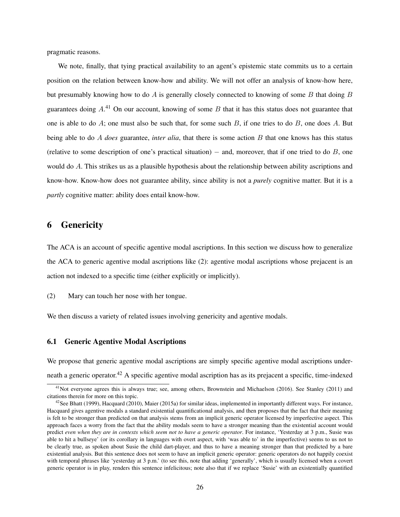pragmatic reasons.

We note, finally, that tying practical availability to an agent's epistemic state commits us to a certain position on the relation between know-how and ability. We will not offer an analysis of know-how here, but presumably knowing how to do A is generally closely connected to knowing of some B that doing B guarantees doing  $A<sup>41</sup>$  $A<sup>41</sup>$  $A<sup>41</sup>$  On our account, knowing of some B that it has this status does not guarantee that one is able to do  $A$ ; one must also be such that, for some such  $B$ , if one tries to do  $B$ , one does  $A$ . But being able to do A *does* guarantee, *inter alia*, that there is some action B that one knows has this status (relative to some description of one's practical situation) – and, moreover, that if one tried to do  $B$ , one would do A. This strikes us as a plausible hypothesis about the relationship between ability ascriptions and know-how. Know-how does not guarantee ability, since ability is not a *purely* cognitive matter. But it is a *partly* cognitive matter: ability does entail know-how.

## 6 Genericity

The ACA is an account of specific agentive modal ascriptions. In this section we discuss how to generalize the ACA to generic agentive modal ascriptions like [\(2\):](#page-0-1) agentive modal ascriptions whose prejacent is an action not indexed to a specific time (either explicitly or implicitly).

[\(2\)](#page-0-1) Mary can touch her nose with her tongue.

We then discuss a variety of related issues involving genericity and agentive modals.

#### 6.1 Generic Agentive Modal Ascriptions

We propose that generic agentive modal ascriptions are simply specific agentive modal ascriptions underneath a generic operator.[42](#page-0-3) A specific agentive modal ascription has as its prejacent a specific, time-indexed

<sup>&</sup>lt;sup>41</sup>Not everyone agrees this is always true; see, among others, [Brownstein and Michaelson](#page-36-7) [\(2016\)](#page-36-7). See [Stanley](#page-37-36) [\(2011\)](#page-37-36) and citations therein for more on this topic.

 $^{42}$ See [Bhatt](#page-36-6) [\(1999\)](#page-36-6), [Hacquard](#page-37-37) [\(2010\)](#page-37-37), [Maier](#page-37-38) [\(2015a\)](#page-37-38) for similar ideas, implemented in importantly different ways. For instance, Hacquard gives agentive modals a standard existential quantificational analysis, and then proposes that the fact that their meaning is felt to be stronger than predicted on that analysis stems from an implicit generic operator licensed by imperfective aspect. This approach faces a worry from the fact that the ability modals seem to have a stronger meaning than the existential account would predict *even when they are in contexts which seem not to have a generic operator*. For instance, 'Yesterday at 3 p.m., Susie was able to hit a bullseye' (or its corollary in languages with overt aspect, with 'was able to' in the imperfective) seems to us not to be clearly true, as spoken about Susie the child dart-player, and thus to have a meaning stronger than that predicted by a bare existential analysis. But this sentence does not seem to have an implicit generic operator: generic operators do not happily coexist with temporal phrases like 'yesterday at 3 p.m.' (to see this, note that adding 'generally', which is usually licensed when a covert generic operator is in play, renders this sentence infelicitous; note also that if we replace 'Susie' with an existentially quantified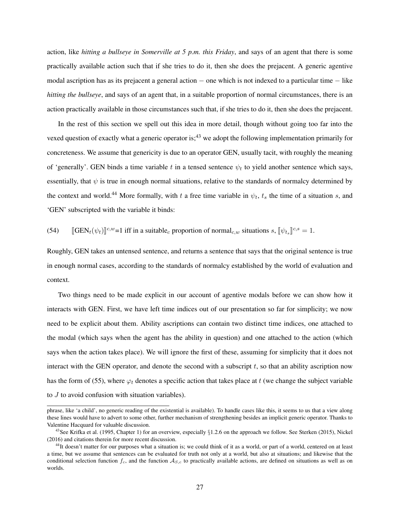action, like *hitting a bullseye in Somerville at 5 p.m. this Friday*, and says of an agent that there is some practically available action such that if she tries to do it, then she does the prejacent. A generic agentive modal ascription has as its prejacent a general action − one which is not indexed to a particular time − like *hitting the bullseye*, and says of an agent that, in a suitable proportion of normal circumstances, there is an action practically available in those circumstances such that, if she tries to do it, then she does the prejacent.

In the rest of this section we spell out this idea in more detail, though without going too far into the vexed question of exactly what a generic operator is;<sup>[43](#page-0-3)</sup> we adopt the following implementation primarily for concreteness. We assume that genericity is due to an operator GEN, usually tacit, with roughly the meaning of 'generally'. GEN binds a time variable t in a tensed sentence  $\psi_t$  to yield another sentence which says, essentially, that  $\psi$  is true in enough normal situations, relative to the standards of normalcy determined by the context and world.<sup>[44](#page-0-3)</sup> More formally, with t a free time variable in  $\psi_t$ ,  $t_s$  the time of a situation s, and 'GEN' subscripted with the variable it binds:

(54)  $[\text{GEN}_t(\psi_t)]^{c,w} = 1$  iff in a suitable<sub>c</sub> proportion of normal<sub>c,w</sub> situations s,  $[\psi_{t_s}]^{c,s} = 1$ .

Roughly, GEN takes an untensed sentence, and returns a sentence that says that the original sentence is true in enough normal cases, according to the standards of normalcy established by the world of evaluation and context.

Two things need to be made explicit in our account of agentive modals before we can show how it interacts with GEN. First, we have left time indices out of our presentation so far for simplicity; we now need to be explicit about them. Ability ascriptions can contain two distinct time indices, one attached to the modal (which says when the agent has the ability in question) and one attached to the action (which says when the action takes place). We will ignore the first of these, assuming for simplicity that it does not interact with the GEN operator, and denote the second with a subscript  $t$ , so that an ability ascription now has the form of (55), where  $\varphi_t$  denotes a specific action that takes place at t (we change the subject variable to  $J$  to avoid confusion with situation variables).

phrase, like 'a child', no generic reading of the existential is available). To handle cases like this, it seems to us that a view along these lines would have to advert to some other, further mechanism of strengthening besides an implicit generic operator. Thanks to Valentine Hacquard for valuable discussion.

<sup>&</sup>lt;sup>43</sup>See [Krifka et al.](#page-37-39) [\(1995,](#page-37-39) Chapter 1) for an overview, especially  $\S 1.2.6$  on the approach we follow. See [Sterken](#page-37-40) [\(2015\)](#page-37-40), [Nickel](#page-37-41) [\(2016\)](#page-37-41) and citations therein for more recent discussion.

 $^{44}$ It doesn't matter for our purposes what a situation is; we could think of it as a world, or part of a world, centered on at least a time, but we assume that sentences can be evaluated for truth not only at a world, but also at situations; and likewise that the conditional selection function  $f_c$ , and the function  $A_{S,c}$  to practically available actions, are defined on situations as well as on worlds.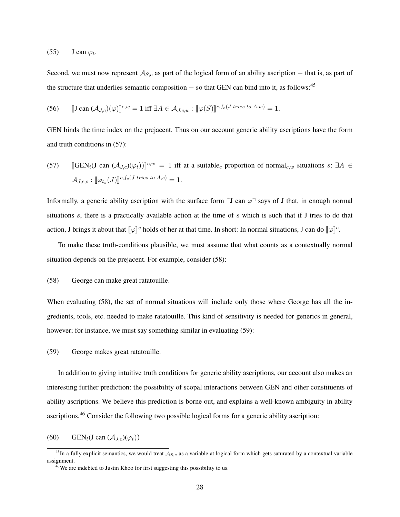## (55) J can  $\varphi_t$ .

Second, we must now represent  $A_{S,c}$  as part of the logical form of an ability ascription – that is, as part of the structure that underlies semantic composition  $-$  so that GEN can bind into it, as follows:<sup>[45](#page-0-3)</sup>

(56) 
$$
\llbracket \mathbf{J} \operatorname{can}(\mathcal{A}_{J,c})(\varphi) \rrbracket^{c,w} = 1 \text{ iff } \exists A \in \mathcal{A}_{J,c,w} : \llbracket \varphi(S) \rrbracket^{c,f_c(J \text{ tries to } A,w)} = 1.
$$

GEN binds the time index on the prejacent. Thus on our account generic ability ascriptions have the form and truth conditions in (57):

(57) 
$$
[\text{GEN}_t(\text{J can } (\mathcal{A}_{J,c})(\varphi_t))]^{c,w} = 1 \text{ iff at a suitable}_c \text{ proportion of normal}_{c,w} \text{ situations } s: \exists A \in \mathcal{A}_{J,c,s}: [\varphi_{t_s}(J)]^{c, f_c(J \text{ tries to } A,s)} = 1.
$$

Informally, a generic ability ascription with the surface form  $\nabla J$  can  $\varphi$ <sup> $\nabla J$ </sup> says of J that, in enough normal situations s, there is a practically available action at the time of s which is such that if J tries to do that action, J brings it about that  $[\![\varphi]\!]^c$  holds of her at that time. In short: In normal situations, J can do  $[\![\varphi]\!]^c$ .

To make these truth-conditions plausible, we must assume that what counts as a contextually normal situation depends on the prejacent. For example, consider (58):

#### (58) George can make great ratatouille.

When evaluating (58), the set of normal situations will include only those where George has all the ingredients, tools, etc. needed to make ratatouille. This kind of sensitivity is needed for generics in general, however; for instance, we must say something similar in evaluating (59):

#### (59) George makes great ratatouille.

In addition to giving intuitive truth conditions for generic ability ascriptions, our account also makes an interesting further prediction: the possibility of scopal interactions between GEN and other constituents of ability ascriptions. We believe this prediction is borne out, and explains a well-known ambiguity in ability ascriptions.[46](#page-0-3) Consider the following two possible logical forms for a generic ability ascription:

<span id="page-27-0"></span>(60) GEN<sub>t</sub>(J can  $(\mathcal{A}_{J,c})(\varphi_t)$ )

<span id="page-27-1"></span><sup>&</sup>lt;sup>45</sup>In a fully explicit semantics, we would treat  $A_{S,c}$  as a variable at logical form which gets saturated by a contextual variable assignment.

 $46$ We are indebted to Justin Khoo for first suggesting this possibility to us.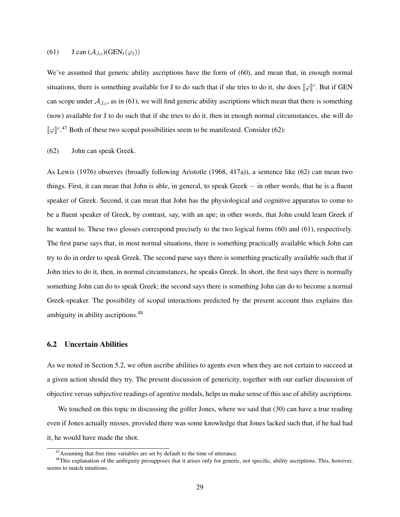## (61) J can  $(\mathcal{A}_{J,c})(\text{GEN}_t(\varphi_t))$

We've assumed that generic ability ascriptions have the form of (60), and mean that, in enough normal situations, there is something available for J to do such that if she tries to do it, she does  $[\varphi]^{c}$ . But if GEN can scope under  $A_{J,c}$ , as in (61), we will find generic ability ascriptions which mean that there is something (now) available for J to do such that if she tries to do it, then in enough normal circumstances, she will do  $\llbracket \varphi \rrbracket^{c,47}$  $\llbracket \varphi \rrbracket^{c,47}$  $\llbracket \varphi \rrbracket^{c,47}$  Both of these two scopal possibilities seem to be manifested. Consider (62):

#### (62) John can speak Greek.

As [Lewis](#page-37-2) [\(1976\)](#page-37-2) observes (broadly following [Aristotle](#page-36-8) [\(1968,](#page-36-8) 417a)), a sentence like (62) can mean two things. First, it can mean that John is able, in general, to speak Greek − in other words, that he is a fluent speaker of Greek. Second, it can mean that John has the physiological and cognitive apparatus to come to be a fluent speaker of Greek, by contrast, say, with an ape; in other words, that John could learn Greek if he wanted to. These two glosses correspond precisely to the two logical forms [\(60\)](#page-27-0) and [\(61\),](#page-27-1) respectively. The first parse says that, in most normal situations, there is something practically available which John can try to do in order to speak Greek. The second parse says there is something practically available such that if John tries to do it, then, in normal circumstances, he speaks Greek. In short, the first says there is normally something John can do to speak Greek; the second says there is something John can do to become a normal Greek-speaker. The possibility of scopal interactions predicted by the present account thus explains this ambiguity in ability ascriptions.<sup>[48](#page-0-3)</sup>

### <span id="page-28-0"></span>6.2 Uncertain Abilities

As we noted in Section [5.2,](#page-14-0) we often ascribe abilities to agents even when they are not certain to succeed at a given action should they try. The present discussion of genericity, together with our earlier discussion of objective versus subjective readings of agentive modals, helps us make sense of this use of ability ascriptions.

We touched on this topic in discussing the golfer Jones, where we said that [\(30\)](#page-11-0) can have a true reading even if Jones actually misses, provided there was some knowledge that Jones lacked such that, if he had had it, he would have made the shot.

 $47$ Assuming that free time variables are set by default to the time of utterance.

<sup>&</sup>lt;sup>48</sup>This explanation of the ambiguity presupposes that it arises only for generic, not specific, ability ascriptions. This, however, seems to match intuitions.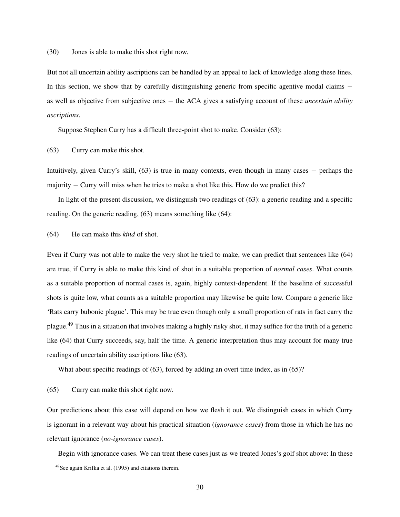[\(30\)](#page-11-0) Jones is able to make this shot right now.

But not all uncertain ability ascriptions can be handled by an appeal to lack of knowledge along these lines. In this section, we show that by carefully distinguishing generic from specific agentive modal claims − as well as objective from subjective ones − the ACA gives a satisfying account of these *uncertain ability ascriptions*.

Suppose Stephen Curry has a difficult three-point shot to make. Consider (63):

<span id="page-29-0"></span>(63) Curry can make this shot.

Intuitively, given Curry's skill, [\(63\)](#page-29-0) is true in many contexts, even though in many cases − perhaps the majority − Curry will miss when he tries to make a shot like this. How do we predict this?

In light of the present discussion, we distinguish two readings of [\(63\):](#page-29-0) a generic reading and a specific reading. On the generic reading, [\(63\)](#page-29-0) means something like [\(64\):](#page-29-1)

<span id="page-29-1"></span>(64) He can make this *kind* of shot.

Even if Curry was not able to make the very shot he tried to make, we can predict that sentences like [\(64\)](#page-29-1) are true, if Curry is able to make this kind of shot in a suitable proportion of *normal cases*. What counts as a suitable proportion of normal cases is, again, highly context-dependent. If the baseline of successful shots is quite low, what counts as a suitable proportion may likewise be quite low. Compare a generic like 'Rats carry bubonic plague'. This may be true even though only a small proportion of rats in fact carry the plague.[49](#page-0-3) Thus in a situation that involves making a highly risky shot, it may suffice for the truth of a generic like [\(64\)](#page-29-1) that Curry succeeds, say, half the time. A generic interpretation thus may account for many true readings of uncertain ability ascriptions like [\(63\).](#page-29-0)

What about specific readings of [\(63\),](#page-29-0) forced by adding an overt time index, as in (65)?

<span id="page-29-2"></span>(65) Curry can make this shot right now.

Our predictions about this case will depend on how we flesh it out. We distinguish cases in which Curry is ignorant in a relevant way about his practical situation (*ignorance cases*) from those in which he has no relevant ignorance (*no-ignorance cases*).

Begin with ignorance cases. We can treat these cases just as we treated Jones's golf shot above: In these

<sup>&</sup>lt;sup>49</sup>See again [Krifka et al.](#page-37-39) [\(1995\)](#page-37-39) and citations therein.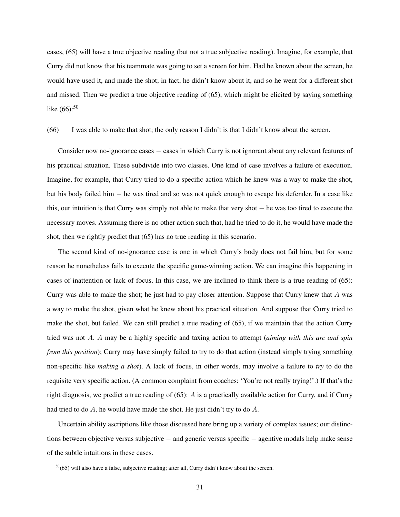cases, [\(65\)](#page-29-2) will have a true objective reading (but not a true subjective reading). Imagine, for example, that Curry did not know that his teammate was going to set a screen for him. Had he known about the screen, he would have used it, and made the shot; in fact, he didn't know about it, and so he went for a different shot and missed. Then we predict a true objective reading of [\(65\),](#page-29-2) which might be elicited by saying something like  $(66)$ :<sup>[50](#page-0-3)</sup>

(66) I was able to make that shot; the only reason I didn't is that I didn't know about the screen.

Consider now no-ignorance cases – cases in which Curry is not ignorant about any relevant features of his practical situation. These subdivide into two classes. One kind of case involves a failure of execution. Imagine, for example, that Curry tried to do a specific action which he knew was a way to make the shot, but his body failed him − he was tired and so was not quick enough to escape his defender. In a case like this, our intuition is that Curry was simply not able to make that very shot − he was too tired to execute the necessary moves. Assuming there is no other action such that, had he tried to do it, he would have made the shot, then we rightly predict that [\(65\)](#page-29-2) has no true reading in this scenario.

The second kind of no-ignorance case is one in which Curry's body does not fail him, but for some reason he nonetheless fails to execute the specific game-winning action. We can imagine this happening in cases of inattention or lack of focus. In this case, we are inclined to think there is a true reading of [\(65\):](#page-29-2) Curry was able to make the shot; he just had to pay closer attention. Suppose that Curry knew that A was a way to make the shot, given what he knew about his practical situation. And suppose that Curry tried to make the shot, but failed. We can still predict a true reading of [\(65\),](#page-29-2) if we maintain that the action Curry tried was not A. A may be a highly specific and taxing action to attempt (*aiming with this arc and spin from this position*); Curry may have simply failed to try to do that action (instead simply trying something non-specific like *making a shot*). A lack of focus, in other words, may involve a failure to *try* to do the requisite very specific action. (A common complaint from coaches: 'You're not really trying!'.) If that's the right diagnosis, we predict a true reading of [\(65\):](#page-29-2) A is a practically available action for Curry, and if Curry had tried to do A, he would have made the shot. He just didn't try to do A.

Uncertain ability ascriptions like those discussed here bring up a variety of complex issues; our distinctions between objective versus subjective − and generic versus specific − agentive modals help make sense of the subtle intuitions in these cases.

 $50(65)$  $50(65)$  will also have a false, subjective reading; after all, Curry didn't know about the screen.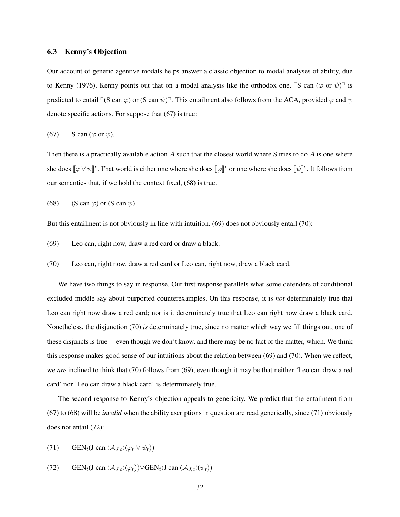## <span id="page-31-0"></span>6.3 Kenny's Objection

Our account of generic agentive modals helps answer a classic objection to modal analyses of ability, due to [Kenny](#page-37-9) [\(1976\)](#page-37-9). Kenny points out that on a modal analysis like the orthodox one,  $\ulcorner$ S can ( $\varphi$  or  $\psi$ ) $\urcorner$  is predicted to entail  $\lceil$  (S can  $\varphi$ ) or (S can  $\psi$ )<sup>-</sup>. This entailment also follows from the ACA, provided  $\varphi$  and  $\psi$ denote specific actions. For suppose that (67) is true:

<span id="page-31-3"></span>(67) S can ( $\varphi$  or  $\psi$ ).

Then there is a practically available action A such that the closest world where S tries to do  $\ddot{A}$  is one where she does  $[\![\varphi \vee \psi]\!]^c$ . That world is either one where she does  $[\![\varphi]\!]^c$  or one where she does  $[\![\psi]\!]^c$ . It follows from our semantics that, if we hold the context fixed, (68) is true.

<span id="page-31-4"></span>(68) (S can  $\varphi$ ) or (S can  $\psi$ ).

<span id="page-31-2"></span>But this entailment is not obviously in line with intuition. (69) does not obviously entail (70):

- (69) Leo can, right now, draw a red card or draw a black.
- <span id="page-31-1"></span>(70) Leo can, right now, draw a red card or Leo can, right now, draw a black card.

We have two things to say in response. Our first response parallels what some defenders of conditional excluded middle say about purported counterexamples. On this response, it is *not* determinately true that Leo can right now draw a red card; nor is it determinately true that Leo can right now draw a black card. Nonetheless, the disjunction [\(70\)](#page-31-1) *is* determinately true, since no matter which way we fill things out, one of these disjuncts is true − even though we don't know, and there may be no fact of the matter, which. We think this response makes good sense of our intuitions about the relation between [\(69\)](#page-31-2) and [\(70\).](#page-31-1) When we reflect, we *are* inclined to think that [\(70\)](#page-31-1) follows from [\(69\),](#page-31-2) even though it may be that neither 'Leo can draw a red card' nor 'Leo can draw a black card' is determinately true.

The second response to Kenny's objection appeals to genericity. We predict that the entailment from [\(67\)](#page-31-3) to [\(68\)](#page-31-4) will be *invalid* when the ability ascriptions in question are read generically, since (71) obviously does not entail (72):

(71) GEN<sub>t</sub>(J can  $(\mathcal{A}_{J,c})(\varphi_t \vee \psi_t)$ )

(72) GEN<sub>t</sub>(J can  $(\mathcal{A}_{J,c})(\varphi_t)$ )∨GEN<sub>t</sub>(J can  $(\mathcal{A}_{J,c})(\psi_t)$ )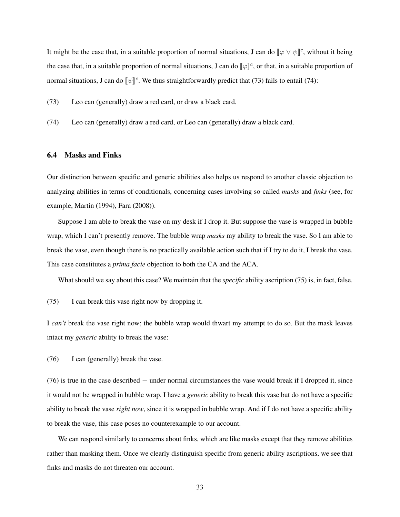It might be the case that, in a suitable proportion of normal situations, J can do  $[\varphi \lor \psi]$ <sup>c</sup>, without it being the case that, in a suitable proportion of normal situations, J can do  $[\varphi]^{c}$ , or that, in a suitable proportion of normal situations, J can do  $[\![\psi]\!]^c$ . We thus straightforwardly predict that (73) fails to entail (74):

(73) Leo can (generally) draw a red card, or draw a black card.

(74) Leo can (generally) draw a red card, or Leo can (generally) draw a black card.

### 6.4 Masks and Finks

Our distinction between specific and generic abilities also helps us respond to another classic objection to analyzing abilities in terms of conditionals, concerning cases involving so-called *masks* and *finks* (see, for example, [Martin](#page-37-42) [\(1994\)](#page-37-42), [Fara](#page-37-43) [\(2008\)](#page-37-43)).

Suppose I am able to break the vase on my desk if I drop it. But suppose the vase is wrapped in bubble wrap, which I can't presently remove. The bubble wrap *masks* my ability to break the vase. So I am able to break the vase, even though there is no practically available action such that if I try to do it, I break the vase. This case constitutes a *prima facie* objection to both the CA and the ACA.

<span id="page-32-0"></span>What should we say about this case? We maintain that the *specific* ability ascription [\(75\)](#page-32-0) is, in fact, false.

(75) I can break this vase right now by dropping it.

I *can't* break the vase right now; the bubble wrap would thwart my attempt to do so. But the mask leaves intact my *generic* ability to break the vase:

(76) I can (generally) break the vase.

(76) is true in the case described − under normal circumstances the vase would break if I dropped it, since it would not be wrapped in bubble wrap. I have a *generic* ability to break this vase but do not have a specific ability to break the vase *right now*, since it is wrapped in bubble wrap. And if I do not have a specific ability to break the vase, this case poses no counterexample to our account.

We can respond similarly to concerns about finks, which are like masks except that they remove abilities rather than masking them. Once we clearly distinguish specific from generic ability ascriptions, we see that finks and masks do not threaten our account.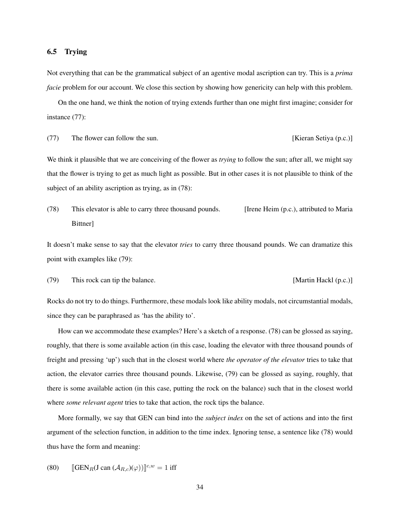#### 6.5 Trying

Not everything that can be the grammatical subject of an agentive modal ascription can try. This is a *prima facie* problem for our account. We close this section by showing how genericity can help with this problem.

On the one hand, we think the notion of trying extends further than one might first imagine; consider for instance (77):

(77) The flower can follow the sun. [Kieran Setiya (p.c.)]

We think it plausible that we are conceiving of the flower as *trying* to follow the sun; after all, we might say that the flower is trying to get as much light as possible. But in other cases it is not plausible to think of the subject of an ability ascription as trying, as in  $(78)$ :

<span id="page-33-0"></span>(78) This elevator is able to carry three thousand pounds. [Irene Heim (p.c.), attributed to Maria Bittner]

It doesn't make sense to say that the elevator *tries* to carry three thousand pounds. We can dramatize this point with examples like (79):

<span id="page-33-1"></span>(79) This rock can tip the balance. [Martin Hackl (p.c.)]

Rocks do not try to do things. Furthermore, these modals look like ability modals, not circumstantial modals, since they can be paraphrased as 'has the ability to'.

How can we accommodate these examples? Here's a sketch of a response. [\(78\)](#page-33-0) can be glossed as saying, roughly, that there is some available action (in this case, loading the elevator with three thousand pounds of freight and pressing 'up') such that in the closest world where *the operator of the elevator* tries to take that action, the elevator carries three thousand pounds. Likewise, [\(79\)](#page-33-1) can be glossed as saying, roughly, that there is some available action (in this case, putting the rock on the balance) such that in the closest world where *some relevant agent* tries to take that action, the rock tips the balance.

More formally, we say that GEN can bind into the *subject index* on the set of actions and into the first argument of the selection function, in addition to the time index. Ignoring tense, a sentence like [\(78\)](#page-33-0) would thus have the form and meaning:

(80) 
$$
\[\text{GEN}_R(\text{Jan }(\mathcal{A}_{R,c})(\varphi))]^{c,w} = 1 \text{ iff}
$$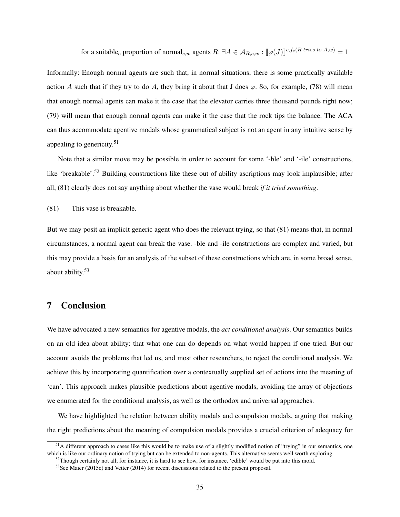for a suitable<sub>c</sub> proportion of normal<sub>c,w</sub> agents  $R: \exists A \in \mathcal{A}_{R,c,w} : [\![\varphi(J)]\!]^{c, f_c(R \text{ tries to } A, w)} = 1$ 

Informally: Enough normal agents are such that, in normal situations, there is some practically available action A such that if they try to do A, they bring it about that J does  $\varphi$ . So, for example, [\(78\)](#page-33-0) will mean that enough normal agents can make it the case that the elevator carries three thousand pounds right now; [\(79\)](#page-33-1) will mean that enough normal agents can make it the case that the rock tips the balance. The ACA can thus accommodate agentive modals whose grammatical subject is not an agent in any intuitive sense by appealing to genericity.[51](#page-0-3)

Note that a similar move may be possible in order to account for some '-ble' and '-ile' constructions, like 'breakable'.<sup>[52](#page-0-3)</sup> Building constructions like these out of ability ascriptions may look implausible; after all, (81) clearly does not say anything about whether the vase would break *if it tried something*.

(81) This vase is breakable.

But we may posit an implicit generic agent who does the relevant trying, so that (81) means that, in normal circumstances, a normal agent can break the vase. -ble and -ile constructions are complex and varied, but this may provide a basis for an analysis of the subset of these constructions which are, in some broad sense, about ability.<sup>[53](#page-0-3)</sup>

## 7 Conclusion

We have advocated a new semantics for agentive modals, the *act conditional analysis*. Our semantics builds on an old idea about ability: that what one can do depends on what would happen if one tried. But our account avoids the problems that led us, and most other researchers, to reject the conditional analysis. We achieve this by incorporating quantification over a contextually supplied set of actions into the meaning of 'can'. This approach makes plausible predictions about agentive modals, avoiding the array of objections we enumerated for the conditional analysis, as well as the orthodox and universal approaches.

We have highlighted the relation between ability modals and compulsion modals, arguing that making the right predictions about the meaning of compulsion modals provides a crucial criterion of adequacy for

 $<sup>51</sup>A$  different approach to cases like this would be to make use of a slightly modified notion of "trying" in our semantics, one</sup> which is like our ordinary notion of trying but can be extended to non-agents. This alternative seems well worth exploring.

 $52$ Though certainly not all; for instance, it is hard to see how, for instance, 'edible' would be put into this mold.

<sup>&</sup>lt;sup>53</sup>See [Maier](#page-37-44) [\(2015c\)](#page-37-44) and [Vetter](#page-37-45) [\(2014\)](#page-37-45) for recent discussions related to the present proposal.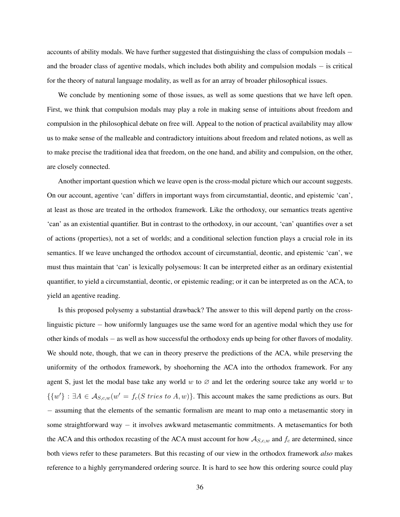accounts of ability modals. We have further suggested that distinguishing the class of compulsion modals − and the broader class of agentive modals, which includes both ability and compulsion modals − is critical for the theory of natural language modality, as well as for an array of broader philosophical issues.

We conclude by mentioning some of those issues, as well as some questions that we have left open. First, we think that compulsion modals may play a role in making sense of intuitions about freedom and compulsion in the philosophical debate on free will. Appeal to the notion of practical availability may allow us to make sense of the malleable and contradictory intuitions about freedom and related notions, as well as to make precise the traditional idea that freedom, on the one hand, and ability and compulsion, on the other, are closely connected.

Another important question which we leave open is the cross-modal picture which our account suggests. On our account, agentive 'can' differs in important ways from circumstantial, deontic, and epistemic 'can', at least as those are treated in the orthodox framework. Like the orthodoxy, our semantics treats agentive 'can' as an existential quantifier. But in contrast to the orthodoxy, in our account, 'can' quantifies over a set of actions (properties), not a set of worlds; and a conditional selection function plays a crucial role in its semantics. If we leave unchanged the orthodox account of circumstantial, deontic, and epistemic 'can', we must thus maintain that 'can' is lexically polysemous: It can be interpreted either as an ordinary existential quantifier, to yield a circumstantial, deontic, or epistemic reading; or it can be interpreted as on the ACA, to yield an agentive reading.

Is this proposed polysemy a substantial drawback? The answer to this will depend partly on the crosslinguistic picture − how uniformly languages use the same word for an agentive modal which they use for other kinds of modals − as well as how successful the orthodoxy ends up being for other flavors of modality. We should note, though, that we can in theory preserve the predictions of the ACA, while preserving the uniformity of the orthodox framework, by shoehorning the ACA into the orthodox framework. For any agent S, just let the modal base take any world w to  $\varnothing$  and let the ordering source take any world w to  $\{w'\}: \exists A \in \mathcal{A}_{S,c,w}(w' = f_c(S \text{ tries to } A, w)).$  This account makes the same predictions as ours. But − assuming that the elements of the semantic formalism are meant to map onto a metasemantic story in some straightforward way – it involves awkward metasemantic commitments. A metasemantics for both the ACA and this orthodox recasting of the ACA must account for how  $A_{S,c,w}$  and  $f_c$  are determined, since both views refer to these parameters. But this recasting of our view in the orthodox framework *also* makes reference to a highly gerrymandered ordering source. It is hard to see how this ordering source could play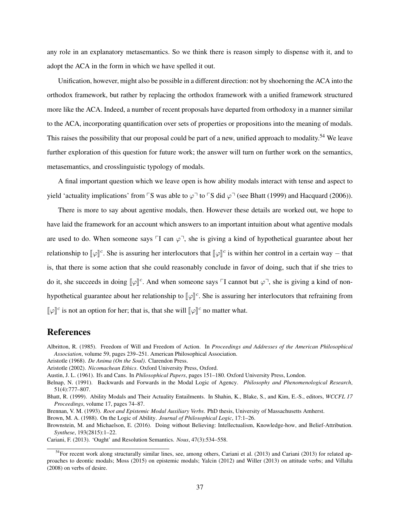any role in an explanatory metasemantics. So we think there is reason simply to dispense with it, and to adopt the ACA in the form in which we have spelled it out.

Unification, however, might also be possible in a different direction: not by shoehorning the ACA into the orthodox framework, but rather by replacing the orthodox framework with a unified framework structured more like the ACA. Indeed, a number of recent proposals have departed from orthodoxy in a manner similar to the ACA, incorporating quantification over sets of properties or propositions into the meaning of modals. This raises the possibility that our proposal could be part of a new, unified approach to modality.<sup>[54](#page-0-3)</sup> We leave further exploration of this question for future work; the answer will turn on further work on the semantics, metasemantics, and crosslinguistic typology of modals.

A final important question which we leave open is how ability modals interact with tense and aspect to yield 'actuality implications' from  $\nabla S$  was able to  $\varphi^{\top}$  to  $\nabla S$  did  $\varphi^{\top}$  (see [Bhatt](#page-36-6) [\(1999\)](#page-36-6) and [Hacquard](#page-37-46) [\(2006\)](#page-37-46)).

There is more to say about agentive modals, then. However these details are worked out, we hope to have laid the framework for an account which answers to an important intuition about what agentive modals are used to do. When someone says  $\Box$  can  $\varphi$ , she is giving a kind of hypothetical guarantee about her relationship to  $[\![\varphi]\!]^c$ . She is assuring her interlocutors that  $[\![\varphi]\!]^c$  is within her control in a certain way – that is, that there is some action that she could reasonably conclude in favor of doing, such that if she tries to do it, she succeeds in doing  $[\![\varphi]\!]^c$ . And when someone says  $\ulcorner$ I cannot but  $\varphi\urcorner$ , she is giving a kind of nonhypothetical guarantee about her relationship to  $[\![\varphi]\!]^c$ . She is assuring her interlocutors that refraining from  $[\![\varphi]\!]^c$  is not an option for her; that is, that she will  $[\![\varphi]\!]^c$  no matter what.

## References

<span id="page-36-4"></span>Albritton, R. (1985). Freedom of Will and Freedom of Action. In *Proceedings and Addresses of the American Philosophical Association*, volume 59, pages 239–251. American Philosophical Association.

<span id="page-36-8"></span>Aristotle (1968). *De Anima (On the Soul)*. Clarendon Press.

<span id="page-36-6"></span>Bhatt, R. (1999). Ability Modals and Their Actuality Entailments. In Shahin, K., Blake, S., and Kim, E.-S., editors, *WCCFL 17 Proceedings*, volume 17, pages 74–87.

<span id="page-36-0"></span>Brennan, V. M. (1993). *Root and Epistemic Modal Auxiliary Verbs*. PhD thesis, University of Massachusetts Amherst.

<span id="page-36-1"></span>Brown, M. A. (1988). On the Logic of Ability. *Journal of Philosophical Logic*, 17:1–26.

<span id="page-36-7"></span>Brownstein, M. and Michaelson, E. (2016). Doing without Believing: Intellectualism, Knowledge-how, and Belief-Attribution. *Synthese*, 193(2815):1–22.

<span id="page-36-9"></span>Cariani, F. (2013). 'Ought' and Resolution Semantics. *Nous*, 47(3):534–558.

<span id="page-36-3"></span>Aristotle (2002). *Nicomachean Ethics*. Oxford University Press, Oxford.

<span id="page-36-5"></span>Austin, J. L. (1961). Ifs and Cans. In *Philosophical Papers*, pages 151–180. Oxford University Press, London.

<span id="page-36-2"></span>Belnap, N. (1991). Backwards and Forwards in the Modal Logic of Agency. *Philosophy and Phenomenological Research*, 51(4):777–807.

 $54$ For recent work along structurally similar lines, see, among others, [Cariani et al.](#page-37-32) [\(2013\)](#page-36-9) and [Cariani](#page-36-9) (2013) for related approaches to deontic modals; [Moss](#page-37-47) [\(2015\)](#page-37-47) on epistemic modals; [Yalcin](#page-38-4) [\(2012\)](#page-38-4) and [Willer](#page-38-5) [\(2013\)](#page-38-5) on attitude verbs; and [Villalta](#page-38-6) [\(2008\)](#page-38-6) on verbs of desire.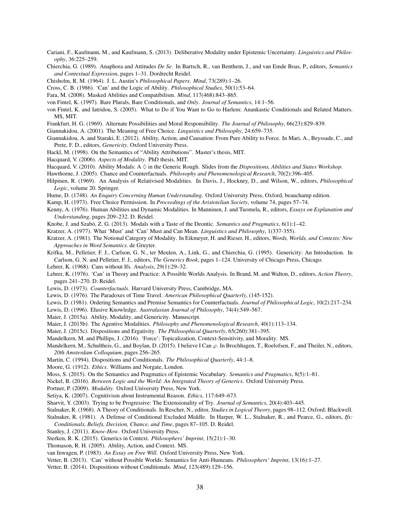- <span id="page-37-32"></span>Cariani, F., Kaufmann, M., and Kaufmann, S. (2013). Deliberative Modality under Epistemic Uncertainty. *Linguistics and Philosophy*, 36:225–259.
- <span id="page-37-10"></span>Chierchia, G. (1989). Anaphora and Attitudes *De Se*. In Bartsch, R., van Benthem, J., and van Emde Boas, P., editors, *Semantics and Contextual Expression*, pages 1–31. Dordrecht Reidel.
- <span id="page-37-28"></span>Chisholm, R. M. (1964). J. L. Austin's *Philosophical Papers*. *Mind*, 73(289):1–26.
- <span id="page-37-23"></span>Cross, C. B. (1986). 'Can' and the Logic of Ability. *Philosophical Studies*, 50(1):53–64.
- <span id="page-37-43"></span>Fara, M. (2008). Masked Abilities and Compatibilism. *Mind*, 117(468):843–865.
- <span id="page-37-19"></span>von Fintel, K. (1997). Bare Plurals, Bare Conditionals, and *Only*. *Journal of Semantics*, 14:1–56.
- <span id="page-37-15"></span>von Fintel, K. and Iatridou, S. (2005). What to Do if You Want to Go to Harlem: Anankastic Conditionals and Related Matters. MS, MIT.
- <span id="page-37-16"></span>Frankfurt, H. G. (1969). Alternate Possibilities and Moral Responsibility. *The Journal of Philosophy*, 66(23):829–839.
- <span id="page-37-11"></span>Giannakidou, A. (2001). The Meaning of Free Choice. *Linguistics and Philosophy*, 24:659–735.
- <span id="page-37-12"></span>Giannakidou, A. and Staraki, E. (2012). Ability, Action, and Causation: From Pure Ability to Force. In Mari, A., Beyssade, C., and Prete, F. D., editors, *Genericity*. Oxford University Press.
- <span id="page-37-13"></span>Hackl, M. (1998). On the Semantics of "Ability Attributions". Master's thesis, MIT.
- <span id="page-37-46"></span>Hacquard, V. (2006). *Aspects of Modality*. PhD thesis, MIT.
- <span id="page-37-37"></span>Hacquard, V. (2010). Ability Modals: A  $\Diamond$  in the Generic Rough. Slides from the *Dispositions, Abilities and States Workshop*.
- <span id="page-37-26"></span>Hawthorne, J. (2005). Chance and Counterfactuals. *Philosophy and Phenomenological Research*, 70(2):396–405.
- <span id="page-37-1"></span>Hilpinen, R. (1969). An Analysis of Relativised Modalities. In Davis, J., Hockney, D., and Wilson, W., editors, *Philosophical Logic*, volume 20. Springer.
- <span id="page-37-33"></span><span id="page-37-20"></span>Hume, D. (1748). *An Enquiry Concerning Human Understanding*. Oxford University Press, Oxford, beauchamp edition.
- Kamp, H. (1973). Free Choice Permission. In *Proceedings of the Aristotelian Society*, volume 74, pages 57–74.
- <span id="page-37-9"></span>Kenny, A. (1976). Human Abilities and Dynamic Modalities. In Manninen, J. and Tuomela, R., editors, *Essays on Explanation and Understanding*, pages 209–232. D. Reidel.
- <span id="page-37-34"></span>Knobe, J. and Szabó, Z. G. (2013). Modals with a Taste of the Deontic. *Semantics and Pragmatics*, 6(1):1–42.
- <span id="page-37-3"></span>Kratzer, A. (1977). What 'Must' and 'Can' Must and Can Mean. *Linguistics and Philosophy*, 1(337-355).
- <span id="page-37-4"></span>Kratzer, A. (1981). The Notional Category of Modality. In Eikmeyer, H. and Rieser, H., editors, *Words, Worlds, and Contexts: New Approaches in Word Semantics*. de Gruyter.
- <span id="page-37-39"></span>Krifka, M., Pelletier, F. J., Carlson, G. N., ter Meulen, A., Link, G., and Chierchia, G. (1995). Genericity: An Introduction. In Carlson, G. N. and Pelletier, F. J., editors, *The Generics Book*, pages 1–124. University of Chicago Press, Chicago.
- <span id="page-37-27"></span>Lehrer, K. (1968). Cans without Ifs. *Analysis*, 29(1):29–32.
- <span id="page-37-22"></span>Lehrer, K. (1976). 'Can' in Theory and Practice: A Possible Worlds Analysis. In Brand, M. and Walton, D., editors, *Action Theory*, pages 241–270. D. Reidel.
- <span id="page-37-30"></span>Lewis, D. (1973). *Counterfactuals*. Harvard University Press, Cambridge, MA.
- <span id="page-37-2"></span>Lewis, D. (1976). The Paradoxes of Time Travel. *American Philosophical Quarterly*, (145-152).
- <span id="page-37-7"></span>Lewis, D. (1981). Ordering Semantics and Premise Semantics for Counterfactuals. *Journal of Philosophical Logic*, 10(2):217–234.
- <span id="page-37-31"></span>Lewis, D. (1996). Elusive Knowledge. *Australasian Journal of Philosophy*, 74(4):549–567.
- <span id="page-37-38"></span>Maier, J. (2015a). Ability, Modality, and Genericity. Manuscript.
- <span id="page-37-14"></span>Maier, J. (2015b). The Agentive Modalities. *Philosophy and Phenomenological Research*, 40(1):113–134.
- <span id="page-37-44"></span>Maier, J. (2015c). Dispositions and Ergativity. *The Philosophical Quarterly*, 65(260):381–395.
- <span id="page-37-35"></span>Mandelkern, M. and Phillips, J. (2016). 'Force': Topicalization, Context-Sensitivity, and Morality. MS.
- <span id="page-37-0"></span>Mandelkern, M., Schultheis, G., and Boylan, D. (2015). I believe I Can  $\varphi$ . In Brochhagen, T., Roelofsen, F., and Theiler, N., editors, *20th Amsterdam Colloquium*, pages 256–265.
- <span id="page-37-42"></span>Martin, C. (1994). Dispositions and Conditionals. *The Philosophical Quarterly*, 44:1–8.
- <span id="page-37-21"></span>Moore, G. (1912). *Ethics*. Williams and Norgate, London.
- <span id="page-37-47"></span>Moss, S. (2015). On the Semantics and Pragmatics of Epistemic Vocabulary. *Semantics and Pragmatics*, 8(5):1–81.
- <span id="page-37-41"></span>Nickel, B. (2016). *Between Logic and the World: An Integrated Theory of Generics*. Oxford University Press.
- <span id="page-37-6"></span>Portner, P. (2009). *Modality*. Oxford University Press, New York.
- <span id="page-37-17"></span>Setiya, K. (2007). Cognitivism about Instrumental Reason. *Ethics*, 117:649–673.
- <span id="page-37-25"></span>Sharvit, Y. (2003). Trying to be Progressive: The Extensionality of Try. *Journal of Semantics*, 20(4):403–445.
- <span id="page-37-18"></span><span id="page-37-8"></span>Stalnaker, R. (1968). A Theory of Conditionals. In Rescher, N., editor, *Studies in Logical Theory*, pages 98–112. Oxford: Blackwell.
- Stalnaker, R. (1981). A Defense of Conditional Excluded Middle. In Harper, W. L., Stalnaker, R., and Pearce, G., editors, *Ifs: Conditionals, Beliefs, Decision, Chance, and Time*, pages 87–105. D. Reidel.
- <span id="page-37-36"></span>Stanley, J. (2011). *Know-How*. Oxford University Press.
- <span id="page-37-40"></span>Sterken, R. K. (2015). Generics in Context. *Philosophers' Imprint*, 15(21):1–30.
- <span id="page-37-24"></span>Thomason, R. H. (2005). Ability, Action, and Context. MS.
- <span id="page-37-29"></span>van Inwagen, P. (1983). *An Essay on Free Will*. Oxford University Press, New York.
- <span id="page-37-5"></span>Vetter, B. (2013). 'Can' without Possible Worlds: Semantics for Anti-Humeans. *Philosophers' Imprint*, 13(16):1–27.
- <span id="page-37-45"></span>Vetter, B. (2014). Dispositions without Conditionals. *Mind*, 123(489):129–156.